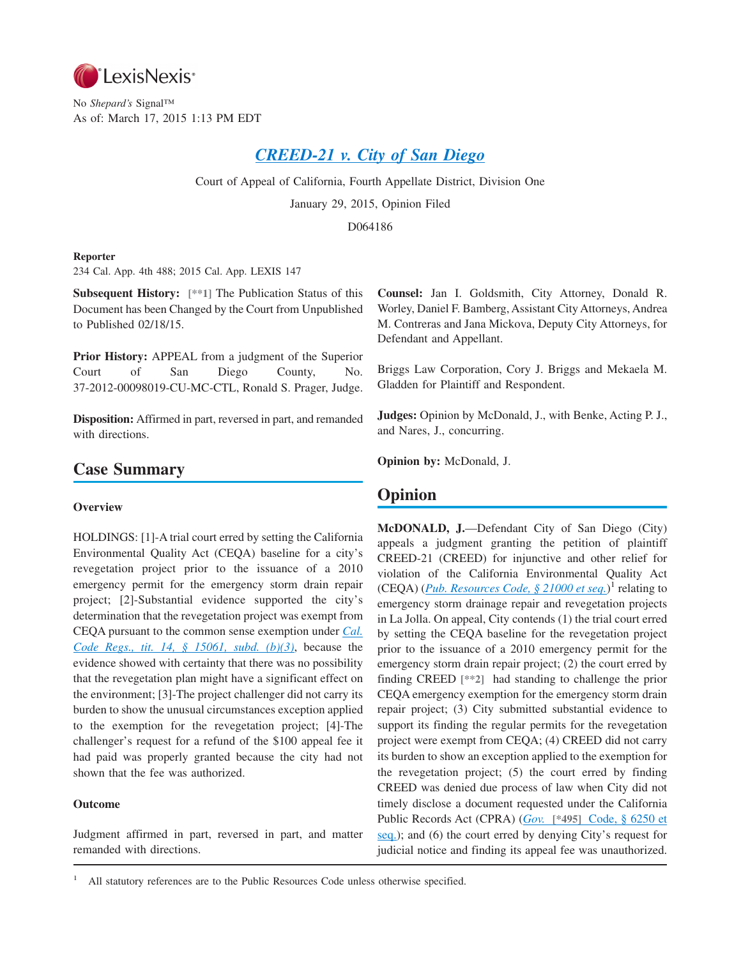

No *Shepard's* Signal™ As of: March 17, 2015 1:13 PM EDT

# *[CREED-21 v. City of San Diego](http://advance.lexis.com/api/document?collection=cases&id=urn:contentItem:5FB6-05S1-F04B-N039-00000-00&context=1000516)*

Court of Appeal of California, Fourth Appellate District, Division One

January 29, 2015, Opinion Filed

D064186

## **Reporter**

234 Cal. App. 4th 488; 2015 Cal. App. LEXIS 147

**Subsequent History: [\*\*1]** The Publication Status of this Document has been Changed by the Court from Unpublished to Published 02/18/15.

**Prior History:** APPEAL from a judgment of the Superior Court of San Diego County, No. 37-2012-00098019-CU-MC-CTL, Ronald S. Prager, Judge.

**Disposition:** Affirmed in part, reversed in part, and remanded with directions.

# **Case Summary**

## **Overview**

HOLDINGS: [1]-A trial court erred by setting the California Environmental Quality Act (CEQA) baseline for a city's revegetation project prior to the issuance of a 2010 emergency permit for the emergency storm drain repair project; [2]-Substantial evidence supported the city's determination that the revegetation project was exempt from CEQA pursuant to the common sense exemption under *[Cal.](http://advance.lexis.com/api/document?collection=administrative-codes&id=urn:contentItem:5381-TN80-0012-J532-00000-00&context=1000516) [Code Regs., tit. 14, § 15061, subd. \(b\)\(3\)](http://advance.lexis.com/api/document?collection=administrative-codes&id=urn:contentItem:5381-TN80-0012-J532-00000-00&context=1000516)*, because the evidence showed with certainty that there was no possibility that the revegetation plan might have a significant effect on the environment; [3]-The project challenger did not carry its burden to show the unusual circumstances exception applied to the exemption for the revegetation project; [4]-The challenger's request for a refund of the \$100 appeal fee it had paid was properly granted because the city had not shown that the fee was authorized.

## **Outcome**

Judgment affirmed in part, reversed in part, and matter remanded with directions.

**Counsel:** Jan I. Goldsmith, City Attorney, Donald R. Worley, Daniel F. Bamberg, Assistant City Attorneys, Andrea M. Contreras and Jana Mickova, Deputy City Attorneys, for Defendant and Appellant.

Briggs Law Corporation, Cory J. Briggs and Mekaela M. Gladden for Plaintiff and Respondent.

**Judges:** Opinion by McDonald, J., with Benke, Acting P. J., and Nares, J., concurring.

**Opinion by:** McDonald, J.

## **Opinion**

**McDONALD, J.**—Defendant City of San Diego (City) appeals a judgment granting the petition of plaintiff CREED-21 (CREED) for injunctive and other relief for violation of the California Environmental Quality Act (CEQA) (*[Pub. Resources Code, § 21000 et seq.](http://advance.lexis.com/api/document?collection=statutes-legislation&id=urn:contentItem:4WN4-1BN0-R03K-G176-00000-00&context=1000516)*)<sup>1</sup> relating to emergency storm drainage repair and revegetation projects in La Jolla. On appeal, City contends (1) the trial court erred by setting the CEQA baseline for the revegetation project prior to the issuance of a 2010 emergency permit for the emergency storm drain repair project; (2) the court erred by finding CREED **[\*\*2]** had standing to challenge the prior CEQA emergency exemption for the emergency storm drain repair project; (3) City submitted substantial evidence to support its finding the regular permits for the revegetation project were exempt from CEQA; (4) CREED did not carry its burden to show an exception applied to the exemption for the revegetation project; (5) the court erred by finding CREED was denied due process of law when City did not timely disclose a document requested under the California Public Records Act (CPRA) (*Gov.* **[\*495]** [Code, § 6250 et](http://advance.lexis.com/api/document?collection=statutes-legislation&id=urn:contentItem:4WK3-HY70-R03K-G2PX-00000-00&context=1000516) [seq.\)](http://advance.lexis.com/api/document?collection=statutes-legislation&id=urn:contentItem:4WK3-HY70-R03K-G2PX-00000-00&context=1000516); and (6) the court erred by denying City's request for judicial notice and finding its appeal fee was unauthorized.

All statutory references are to the Public Resources Code unless otherwise specified.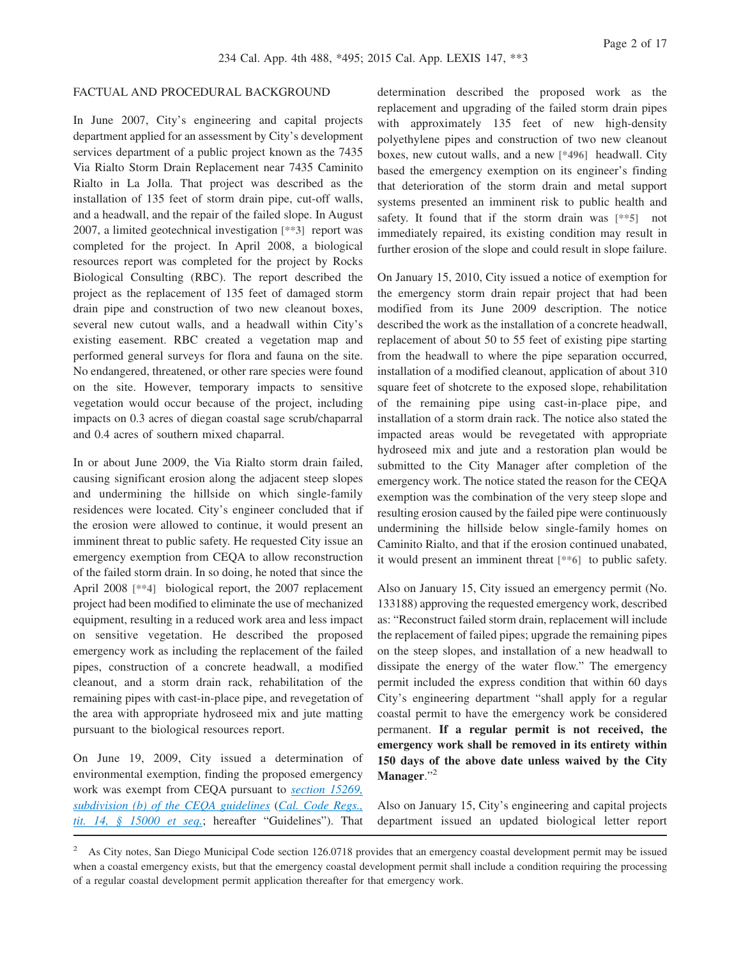## FACTUAL AND PROCEDURAL BACKGROUND

In June 2007, City's engineering and capital projects department applied for an assessment by City's development services department of a public project known as the 7435 Via Rialto Storm Drain Replacement near 7435 Caminito Rialto in La Jolla. That project was described as the installation of 135 feet of storm drain pipe, cut-off walls, and a headwall, and the repair of the failed slope. In August 2007, a limited geotechnical investigation **[\*\*3]** report was completed for the project. In April 2008, a biological resources report was completed for the project by Rocks Biological Consulting (RBC). The report described the project as the replacement of 135 feet of damaged storm drain pipe and construction of two new cleanout boxes, several new cutout walls, and a headwall within City's existing easement. RBC created a vegetation map and performed general surveys for flora and fauna on the site. No endangered, threatened, or other rare species were found on the site. However, temporary impacts to sensitive vegetation would occur because of the project, including impacts on 0.3 acres of diegan coastal sage scrub/chaparral and 0.4 acres of southern mixed chaparral.

In or about June 2009, the Via Rialto storm drain failed, causing significant erosion along the adjacent steep slopes and undermining the hillside on which single-family residences were located. City's engineer concluded that if the erosion were allowed to continue, it would present an imminent threat to public safety. He requested City issue an emergency exemption from CEQA to allow reconstruction of the failed storm drain. In so doing, he noted that since the April 2008 **[\*\*4]** biological report, the 2007 replacement project had been modified to eliminate the use of mechanized equipment, resulting in a reduced work area and less impact on sensitive vegetation. He described the proposed emergency work as including the replacement of the failed pipes, construction of a concrete headwall, a modified cleanout, and a storm drain rack, rehabilitation of the remaining pipes with cast-in-place pipe, and revegetation of the area with appropriate hydroseed mix and jute matting pursuant to the biological resources report.

On June 19, 2009, City issued a determination of environmental exemption, finding the proposed emergency work was exempt from CEQA pursuant to *[section 15269,](http://advance.lexis.com/api/document?collection=administrative-codes&id=urn:contentItem:5381-TNC0-0012-J02C-00000-00&context=1000516) [subdivision \(b\) of the CEQA guidelines](http://advance.lexis.com/api/document?collection=administrative-codes&id=urn:contentItem:5381-TNC0-0012-J02C-00000-00&context=1000516)* (*[Cal. Code Regs.,](http://advance.lexis.com/api/document?collection=administrative-codes&id=urn:contentItem:5381-TN70-0012-J524-00000-00&context=1000516) [tit. 14, § 15000 et seq.](http://advance.lexis.com/api/document?collection=administrative-codes&id=urn:contentItem:5381-TN70-0012-J524-00000-00&context=1000516)*; hereafter "Guidelines"). That determination described the proposed work as the replacement and upgrading of the failed storm drain pipes with approximately 135 feet of new high-density polyethylene pipes and construction of two new cleanout boxes, new cutout walls, and a new **[\*496]** headwall. City based the emergency exemption on its engineer's finding that deterioration of the storm drain and metal support systems presented an imminent risk to public health and safety. It found that if the storm drain was **[\*\*5]** not immediately repaired, its existing condition may result in further erosion of the slope and could result in slope failure.

On January 15, 2010, City issued a notice of exemption for the emergency storm drain repair project that had been modified from its June 2009 description. The notice described the work as the installation of a concrete headwall, replacement of about 50 to 55 feet of existing pipe starting from the headwall to where the pipe separation occurred, installation of a modified cleanout, application of about 310 square feet of shotcrete to the exposed slope, rehabilitation of the remaining pipe using cast-in-place pipe, and installation of a storm drain rack. The notice also stated the impacted areas would be revegetated with appropriate hydroseed mix and jute and a restoration plan would be submitted to the City Manager after completion of the emergency work. The notice stated the reason for the CEQA exemption was the combination of the very steep slope and resulting erosion caused by the failed pipe were continuously undermining the hillside below single-family homes on Caminito Rialto, and that if the erosion continued unabated, it would present an imminent threat **[\*\*6]** to public safety.

Also on January 15, City issued an emergency permit (No. 133188) approving the requested emergency work, described as: "Reconstruct failed storm drain, replacement will include the replacement of failed pipes; upgrade the remaining pipes on the steep slopes, and installation of a new headwall to dissipate the energy of the water flow." The emergency permit included the express condition that within 60 days City's engineering department "shall apply for a regular coastal permit to have the emergency work be considered permanent. **If a regular permit is not received, the emergency work shall be removed in its entirety within 150 days of the above date unless waived by the City Manager**."<sup>2</sup>

Also on January 15, City's engineering and capital projects department issued an updated biological letter report

<sup>&</sup>lt;sup>2</sup> As City notes, San Diego Municipal Code section 126.0718 provides that an emergency coastal development permit may be issued when a coastal emergency exists, but that the emergency coastal development permit shall include a condition requiring the processing of a regular coastal development permit application thereafter for that emergency work.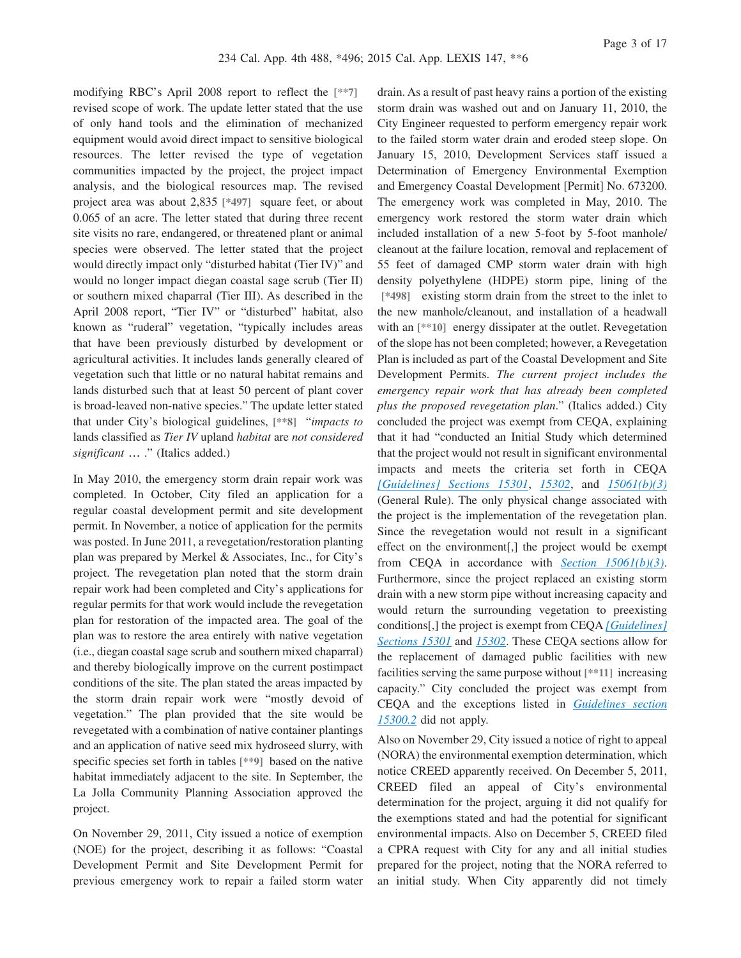modifying RBC's April 2008 report to reflect the **[\*\*7]** revised scope of work. The update letter stated that the use of only hand tools and the elimination of mechanized equipment would avoid direct impact to sensitive biological resources. The letter revised the type of vegetation communities impacted by the project, the project impact analysis, and the biological resources map. The revised project area was about 2,835 **[\*497]** square feet, or about 0.065 of an acre. The letter stated that during three recent site visits no rare, endangered, or threatened plant or animal species were observed. The letter stated that the project would directly impact only "disturbed habitat (Tier IV)" and would no longer impact diegan coastal sage scrub (Tier II) or southern mixed chaparral (Tier III). As described in the April 2008 report, "Tier IV" or "disturbed" habitat, also known as "ruderal" vegetation, "typically includes areas that have been previously disturbed by development or agricultural activities. It includes lands generally cleared of vegetation such that little or no natural habitat remains and lands disturbed such that at least 50 percent of plant cover is broad-leaved non-native species." The update letter stated that under City's biological guidelines, **[\*\*8]** "*impacts to* lands classified as *Tier IV* upland *habitat* are *not considered significant* … ." (Italics added.)

In May 2010, the emergency storm drain repair work was completed. In October, City filed an application for a regular coastal development permit and site development permit. In November, a notice of application for the permits was posted. In June 2011, a revegetation/restoration planting plan was prepared by Merkel & Associates, Inc., for City's project. The revegetation plan noted that the storm drain repair work had been completed and City's applications for regular permits for that work would include the revegetation plan for restoration of the impacted area. The goal of the plan was to restore the area entirely with native vegetation (i.e., diegan coastal sage scrub and southern mixed chaparral) and thereby biologically improve on the current postimpact conditions of the site. The plan stated the areas impacted by the storm drain repair work were "mostly devoid of vegetation." The plan provided that the site would be revegetated with a combination of native container plantings and an application of native seed mix hydroseed slurry, with specific species set forth in tables **[\*\*9]** based on the native habitat immediately adjacent to the site. In September, the La Jolla Community Planning Association approved the project.

On November 29, 2011, City issued a notice of exemption (NOE) for the project, describing it as follows: "Coastal Development Permit and Site Development Permit for previous emergency work to repair a failed storm water

drain. As a result of past heavy rains a portion of the existing storm drain was washed out and on January 11, 2010, the City Engineer requested to perform emergency repair work to the failed storm water drain and eroded steep slope. On January 15, 2010, Development Services staff issued a Determination of Emergency Environmental Exemption and Emergency Coastal Development [Permit] No. 673200. The emergency work was completed in May, 2010. The emergency work restored the storm water drain which included installation of a new 5-foot by 5-foot manhole/ cleanout at the failure location, removal and replacement of 55 feet of damaged CMP storm water drain with high density polyethylene (HDPE) storm pipe, lining of the **[\*498]** existing storm drain from the street to the inlet to the new manhole/cleanout, and installation of a headwall with an  $[**10]$  energy dissipater at the outlet. Revegetation of the slope has not been completed; however, a Revegetation Plan is included as part of the Coastal Development and Site Development Permits. *The current project includes the emergency repair work that has already been completed plus the proposed revegetation plan*." (Italics added.) City concluded the project was exempt from CEQA, explaining that it had "conducted an Initial Study which determined that the project would not result in significant environmental impacts and meets the criteria set forth in CEQA *[\[Guidelines\] Sections 15301](http://advance.lexis.com/api/document?collection=administrative-codes&id=urn:contentItem:5381-TNC0-0012-J035-00000-00&context=1000516)*, *[15302](http://advance.lexis.com/api/document?collection=administrative-codes&id=urn:contentItem:5381-TNC0-0012-J036-00000-00&context=1000516)*, and *[15061\(b\)\(3\)](http://advance.lexis.com/api/document?collection=administrative-codes&id=urn:contentItem:5381-TN80-0012-J532-00000-00&context=1000516)* (General Rule). The only physical change associated with the project is the implementation of the revegetation plan. Since the revegetation would not result in a significant effect on the environment[,] the project would be exempt from CEQA in accordance with *[Section 15061\(b\)\(3\)](http://advance.lexis.com/api/document?collection=administrative-codes&id=urn:contentItem:5381-TN80-0012-J532-00000-00&context=1000516)*. Furthermore, since the project replaced an existing storm drain with a new storm pipe without increasing capacity and would return the surrounding vegetation to preexisting conditions[,] the project is exempt from CEQA *[\[Guidelines\]](http://advance.lexis.com/api/document?collection=administrative-codes&id=urn:contentItem:5381-TNC0-0012-J035-00000-00&context=1000516) [Sections 15301](http://advance.lexis.com/api/document?collection=administrative-codes&id=urn:contentItem:5381-TNC0-0012-J035-00000-00&context=1000516)* and *[15302](http://advance.lexis.com/api/document?collection=administrative-codes&id=urn:contentItem:5381-TNC0-0012-J036-00000-00&context=1000516)*. These CEQA sections allow for the replacement of damaged public facilities with new facilities serving the same purpose without **[\*\*11]** increasing capacity." City concluded the project was exempt from CEQA and the exceptions listed in *[Guidelines section](http://advance.lexis.com/api/document?collection=administrative-codes&id=urn:contentItem:5381-TNC0-0012-J032-00000-00&context=1000516) [15300.2](http://advance.lexis.com/api/document?collection=administrative-codes&id=urn:contentItem:5381-TNC0-0012-J032-00000-00&context=1000516)* did not apply.

Also on November 29, City issued a notice of right to appeal (NORA) the environmental exemption determination, which notice CREED apparently received. On December 5, 2011, CREED filed an appeal of City's environmental determination for the project, arguing it did not qualify for the exemptions stated and had the potential for significant environmental impacts. Also on December 5, CREED filed a CPRA request with City for any and all initial studies prepared for the project, noting that the NORA referred to an initial study. When City apparently did not timely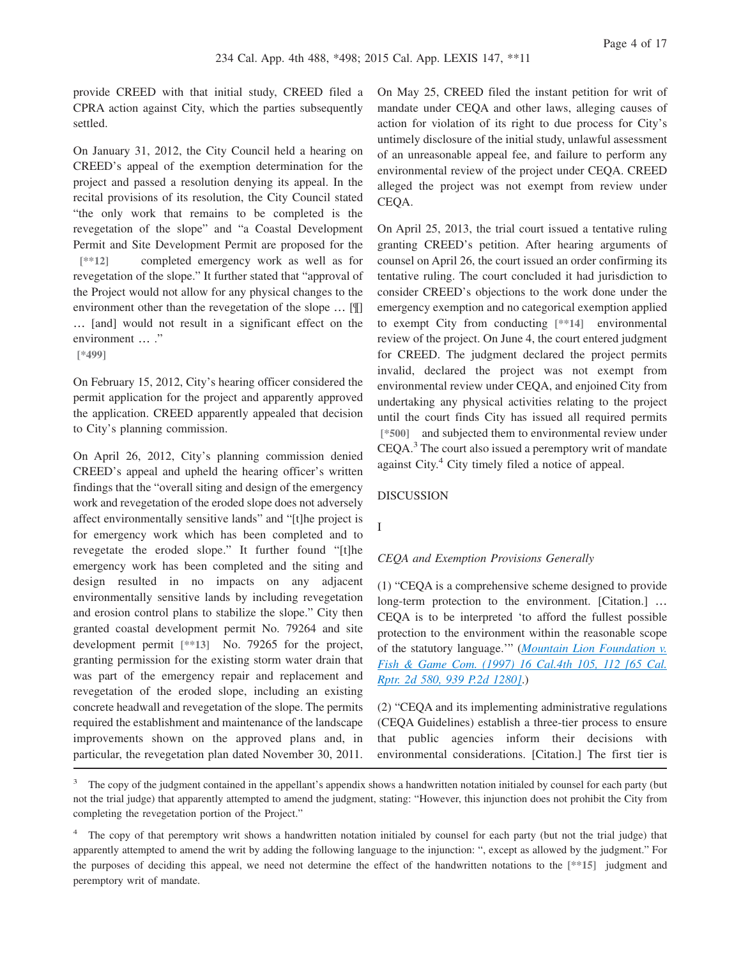provide CREED with that initial study, CREED filed a CPRA action against City, which the parties subsequently settled.

On January 31, 2012, the City Council held a hearing on CREED's appeal of the exemption determination for the project and passed a resolution denying its appeal. In the recital provisions of its resolution, the City Council stated "the only work that remains to be completed is the revegetation of the slope" and "a Coastal Development Permit and Site Development Permit are proposed for the **[\*\*12]** completed emergency work as well as for revegetation of the slope." It further stated that "approval of the Project would not allow for any physical changes to the environment other than the revegetation of the slope … [¶] … [and] would not result in a significant effect on the environment … ."

**[\*499]**

On February 15, 2012, City's hearing officer considered the permit application for the project and apparently approved the application. CREED apparently appealed that decision to City's planning commission.

On April 26, 2012, City's planning commission denied CREED's appeal and upheld the hearing officer's written findings that the "overall siting and design of the emergency work and revegetation of the eroded slope does not adversely affect environmentally sensitive lands" and "[t]he project is for emergency work which has been completed and to revegetate the eroded slope." It further found "[t]he emergency work has been completed and the siting and design resulted in no impacts on any adjacent environmentally sensitive lands by including revegetation and erosion control plans to stabilize the slope." City then granted coastal development permit No. 79264 and site development permit **[\*\*13]** No. 79265 for the project, granting permission for the existing storm water drain that was part of the emergency repair and replacement and revegetation of the eroded slope, including an existing concrete headwall and revegetation of the slope. The permits required the establishment and maintenance of the landscape improvements shown on the approved plans and, in particular, the revegetation plan dated November 30, 2011.

On May 25, CREED filed the instant petition for writ of mandate under CEQA and other laws, alleging causes of action for violation of its right to due process for City's untimely disclosure of the initial study, unlawful assessment of an unreasonable appeal fee, and failure to perform any environmental review of the project under CEQA. CREED alleged the project was not exempt from review under CEQA.

On April 25, 2013, the trial court issued a tentative ruling granting CREED's petition. After hearing arguments of counsel on April 26, the court issued an order confirming its tentative ruling. The court concluded it had jurisdiction to consider CREED's objections to the work done under the emergency exemption and no categorical exemption applied to exempt City from conducting **[\*\*14]** environmental review of the project. On June 4, the court entered judgment for CREED. The judgment declared the project permits invalid, declared the project was not exempt from environmental review under CEQA, and enjoined City from undertaking any physical activities relating to the project until the court finds City has issued all required permits **[\*500]** and subjected them to environmental review under CEQA.<sup>3</sup> The court also issued a peremptory writ of mandate against City.<sup>4</sup> City timely filed a notice of appeal.

#### DISCUSSION

I

## *CEQA and Exemption Provisions Generally*

(1) "CEQA is a comprehensive scheme designed to provide long-term protection to the environment. [Citation.] ... CEQA is to be interpreted 'to afford the fullest possible protection to the environment within the reasonable scope of the statutory language.'" (*[Mountain Lion Foundation v.](http://advance.lexis.com/api/document?collection=cases&id=urn:contentItem:3RHR-WD40-0039-43JM-00000-00&context=1000516) [Fish & Game Com. \(1997\) 16 Cal.4th 105, 112 \[65 Cal.](http://advance.lexis.com/api/document?collection=cases&id=urn:contentItem:3RHR-WD40-0039-43JM-00000-00&context=1000516) [Rptr. 2d 580, 939 P.2d 1280\]](http://advance.lexis.com/api/document?collection=cases&id=urn:contentItem:3RHR-WD40-0039-43JM-00000-00&context=1000516)*.)

(2) "CEQA and its implementing administrative regulations (CEQA Guidelines) establish a three-tier process to ensure that public agencies inform their decisions with environmental considerations. [Citation.] The first tier is

<sup>&</sup>lt;sup>3</sup> The copy of the judgment contained in the appellant's appendix shows a handwritten notation initialed by counsel for each party (but not the trial judge) that apparently attempted to amend the judgment, stating: "However, this injunction does not prohibit the City from completing the revegetation portion of the Project."

<sup>&</sup>lt;sup>4</sup> The copy of that peremptory writ shows a handwritten notation initialed by counsel for each party (but not the trial judge) that apparently attempted to amend the writ by adding the following language to the injunction: ", except as allowed by the judgment." For the purposes of deciding this appeal, we need not determine the effect of the handwritten notations to the **[\*\*15]** judgment and peremptory writ of mandate.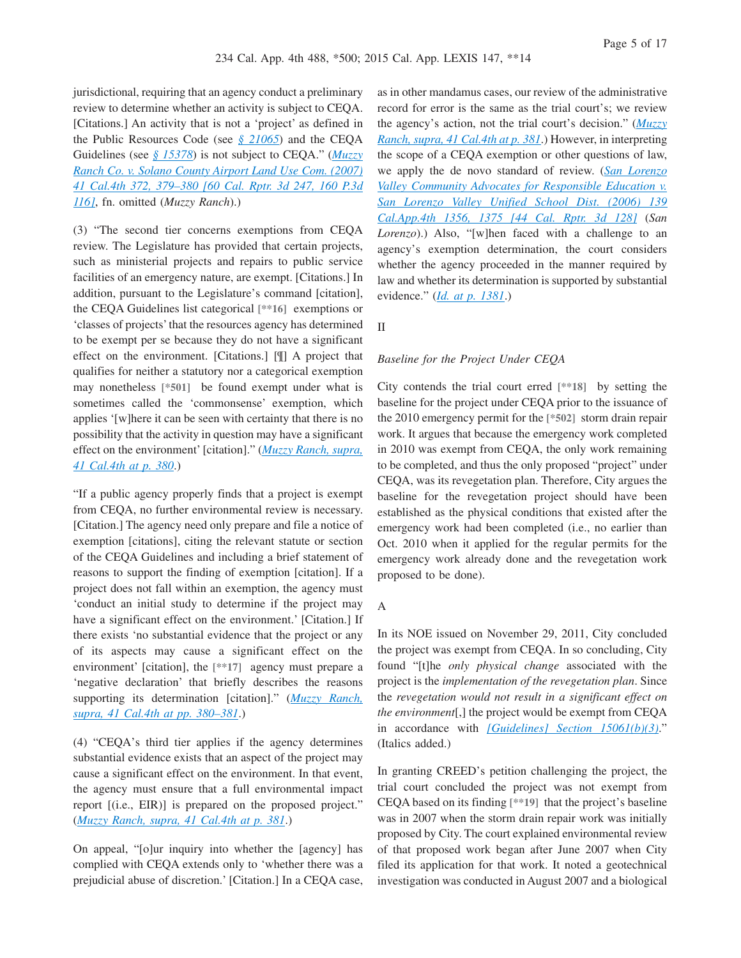jurisdictional, requiring that an agency conduct a preliminary review to determine whether an activity is subject to CEQA. [Citations.] An activity that is not a 'project' as defined in the Public Resources Code (see *[§ 21065](http://advance.lexis.com/api/document?collection=statutes-legislation&id=urn:contentItem:4WN4-1BN0-R03K-G183-00000-00&context=1000516)*) and the CEQA Guidelines (see *[§ 15378](http://advance.lexis.com/api/document?collection=administrative-codes&id=urn:contentItem:5381-TND0-0012-J05D-00000-00&context=1000516)*) is not subject to CEQA." (*[Muzzy](http://advance.lexis.com/api/document?collection=cases&id=urn:contentItem:4P19-M670-TXFN-82J2-00000-00&context=1000516) [Ranch Co. v. Solano County Airport Land Use Com. \(2007\)](http://advance.lexis.com/api/document?collection=cases&id=urn:contentItem:4P19-M670-TXFN-82J2-00000-00&context=1000516) [41 Cal.4th 372, 379–380 \[60 Cal. Rptr. 3d 247, 160 P.3d](http://advance.lexis.com/api/document?collection=cases&id=urn:contentItem:4P19-M670-TXFN-82J2-00000-00&context=1000516) [116\]](http://advance.lexis.com/api/document?collection=cases&id=urn:contentItem:4P19-M670-TXFN-82J2-00000-00&context=1000516)*, fn. omitted (*Muzzy Ranch*).)

(3) "The second tier concerns exemptions from CEQA review. The Legislature has provided that certain projects, such as ministerial projects and repairs to public service facilities of an emergency nature, are exempt. [Citations.] In addition, pursuant to the Legislature's command [citation], the CEQA Guidelines list categorical **[\*\*16]** exemptions or 'classes of projects' that the resources agency has determined to be exempt per se because they do not have a significant effect on the environment. [Citations.] [¶] A project that qualifies for neither a statutory nor a categorical exemption may nonetheless **[\*501]** be found exempt under what is sometimes called the 'commonsense' exemption, which applies '[w]here it can be seen with certainty that there is no possibility that the activity in question may have a significant effect on the environment' [citation]." (*[Muzzy Ranch, supra,](http://advance.lexis.com/api/document?collection=cases&id=urn:contentItem:4P19-M670-TXFN-82J2-00000-00&context=1000516) [41 Cal.4th at p. 380](http://advance.lexis.com/api/document?collection=cases&id=urn:contentItem:4P19-M670-TXFN-82J2-00000-00&context=1000516)*.)

"If a public agency properly finds that a project is exempt from CEQA, no further environmental review is necessary. [Citation.] The agency need only prepare and file a notice of exemption [citations], citing the relevant statute or section of the CEQA Guidelines and including a brief statement of reasons to support the finding of exemption [citation]. If a project does not fall within an exemption, the agency must 'conduct an initial study to determine if the project may have a significant effect on the environment.' [Citation.] If there exists 'no substantial evidence that the project or any of its aspects may cause a significant effect on the environment' [citation], the **[\*\*17]** agency must prepare a 'negative declaration' that briefly describes the reasons supporting its determination [citation]." (*[Muzzy Ranch,](http://advance.lexis.com/api/document?collection=cases&id=urn:contentItem:4P19-M670-TXFN-82J2-00000-00&context=1000516) [supra, 41 Cal.4th at pp. 380–381](http://advance.lexis.com/api/document?collection=cases&id=urn:contentItem:4P19-M670-TXFN-82J2-00000-00&context=1000516)*.)

(4) "CEQA's third tier applies if the agency determines substantial evidence exists that an aspect of the project may cause a significant effect on the environment. In that event, the agency must ensure that a full environmental impact report [(i.e., EIR)] is prepared on the proposed project." (*[Muzzy Ranch, supra, 41 Cal.4th at p. 381](http://advance.lexis.com/api/document?collection=cases&id=urn:contentItem:4P19-M670-TXFN-82J2-00000-00&context=1000516)*.)

On appeal, "[o]ur inquiry into whether the [agency] has complied with CEQA extends only to 'whether there was a prejudicial abuse of discretion.' [Citation.] In a CEQA case, as in other mandamus cases, our review of the administrative record for error is the same as the trial court's; we review the agency's action, not the trial court's decision." (*[Muzzy](http://advance.lexis.com/api/document?collection=cases&id=urn:contentItem:4P19-M670-TXFN-82J2-00000-00&context=1000516) [Ranch, supra, 41 Cal.4th at p. 381](http://advance.lexis.com/api/document?collection=cases&id=urn:contentItem:4P19-M670-TXFN-82J2-00000-00&context=1000516)*.) However, in interpreting the scope of a CEQA exemption or other questions of law, we apply the de novo standard of review. (*[San Lorenzo](http://advance.lexis.com/api/document?collection=cases&id=urn:contentItem:4K2S-JY70-0039-40WJ-00000-00&context=1000516) [Valley Community Advocates for Responsible Education v.](http://advance.lexis.com/api/document?collection=cases&id=urn:contentItem:4K2S-JY70-0039-40WJ-00000-00&context=1000516) [San Lorenzo Valley Unified School Dist. \(2006\) 139](http://advance.lexis.com/api/document?collection=cases&id=urn:contentItem:4K2S-JY70-0039-40WJ-00000-00&context=1000516) [Cal.App.4th 1356, 1375 \[44 Cal. Rptr. 3d 128\]](http://advance.lexis.com/api/document?collection=cases&id=urn:contentItem:4K2S-JY70-0039-40WJ-00000-00&context=1000516)* (*San Lorenzo*).) Also, "[w]hen faced with a challenge to an agency's exemption determination, the court considers whether the agency proceeded in the manner required by law and whether its determination is supported by substantial evidence." (*[Id. at p. 1381](http://advance.lexis.com/api/document?collection=cases&id=urn:contentItem:4K2S-JY70-0039-40WJ-00000-00&context=1000516)*.)

II

#### *Baseline for the Project Under CEQA*

City contends the trial court erred **[\*\*18]** by setting the baseline for the project under CEQA prior to the issuance of the 2010 emergency permit for the **[\*502]** storm drain repair work. It argues that because the emergency work completed in 2010 was exempt from CEQA, the only work remaining to be completed, and thus the only proposed "project" under CEQA, was its revegetation plan. Therefore, City argues the baseline for the revegetation project should have been established as the physical conditions that existed after the emergency work had been completed (i.e., no earlier than Oct. 2010 when it applied for the regular permits for the emergency work already done and the revegetation work proposed to be done).

#### A

In its NOE issued on November 29, 2011, City concluded the project was exempt from CEQA. In so concluding, City found "[t]he *only physical change* associated with the project is the *implementation of the revegetation plan*. Since the *revegetation would not result in a significant effect on the environment*[,] the project would be exempt from CEQA in accordance with *[\[Guidelines\] Section 15061\(b\)\(3\)](http://advance.lexis.com/api/document?collection=administrative-codes&id=urn:contentItem:5381-TN80-0012-J532-00000-00&context=1000516)*." (Italics added.)

In granting CREED's petition challenging the project, the trial court concluded the project was not exempt from CEQA based on its finding **[\*\*19]** that the project's baseline was in 2007 when the storm drain repair work was initially proposed by City. The court explained environmental review of that proposed work began after June 2007 when City filed its application for that work. It noted a geotechnical investigation was conducted in August 2007 and a biological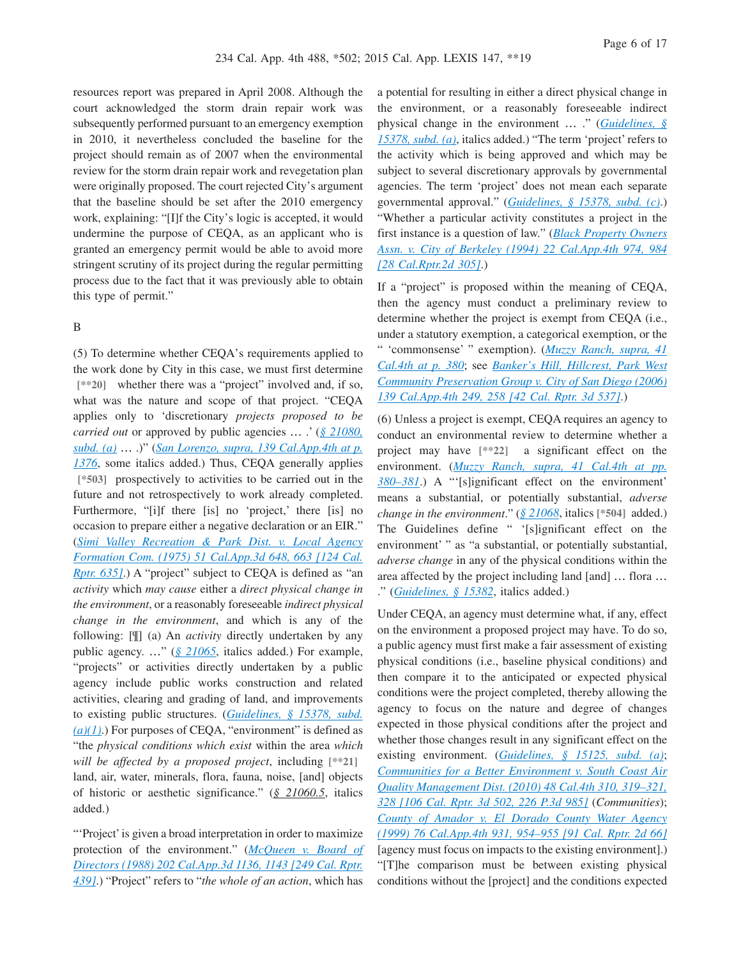resources report was prepared in April 2008. Although the court acknowledged the storm drain repair work was subsequently performed pursuant to an emergency exemption in 2010, it nevertheless concluded the baseline for the project should remain as of 2007 when the environmental review for the storm drain repair work and revegetation plan were originally proposed. The court rejected City's argument that the baseline should be set after the 2010 emergency work, explaining: "[I]f the City's logic is accepted, it would undermine the purpose of CEQA, as an applicant who is granted an emergency permit would be able to avoid more stringent scrutiny of its project during the regular permitting process due to the fact that it was previously able to obtain this type of permit."

## B

(5) To determine whether CEQA's requirements applied to the work done by City in this case, we must first determine [\*\*20] whether there was a "project" involved and, if so, what was the nature and scope of that project. "CEQA applies only to 'discretionary *projects proposed to be carried out* or approved by public agencies … .' (*[§ 21080,](http://advance.lexis.com/api/document?collection=statutes-legislation&id=urn:contentItem:4WN4-1BN0-R03K-G18G-00000-00&context=1000516) [subd. \(a\)](http://advance.lexis.com/api/document?collection=statutes-legislation&id=urn:contentItem:4WN4-1BN0-R03K-G18G-00000-00&context=1000516)* … .)" (*[San Lorenzo, supra, 139 Cal.App.4th at p.](http://advance.lexis.com/api/document?collection=cases&id=urn:contentItem:4K2S-JY70-0039-40WJ-00000-00&context=1000516) [1376](http://advance.lexis.com/api/document?collection=cases&id=urn:contentItem:4K2S-JY70-0039-40WJ-00000-00&context=1000516)*, some italics added.) Thus, CEQA generally applies **[\*503]** prospectively to activities to be carried out in the future and not retrospectively to work already completed. Furthermore, "[i]f there [is] no 'project,' there [is] no occasion to prepare either a negative declaration or an EIR." (*[Simi Valley Recreation & Park Dist. v. Local Agency](http://advance.lexis.com/api/document?collection=cases&id=urn:contentItem:3S11-V520-003C-R0MG-00000-00&context=1000516) [Formation Com. \(1975\) 51 Cal.App.3d 648, 663 \[124 Cal.](http://advance.lexis.com/api/document?collection=cases&id=urn:contentItem:3S11-V520-003C-R0MG-00000-00&context=1000516) [Rptr. 635\]](http://advance.lexis.com/api/document?collection=cases&id=urn:contentItem:3S11-V520-003C-R0MG-00000-00&context=1000516).*) A "project" subject to CEQA is defined as "an *activity* which *may cause* either a *direct physical change in the environment*, or a reasonably foreseeable *indirect physical change in the environment*, and which is any of the following: [¶] (a) An *activity* directly undertaken by any public agency. …" (*[§ 21065](http://advance.lexis.com/api/document?collection=statutes-legislation&id=urn:contentItem:4WN4-1BN0-R03K-G183-00000-00&context=1000516)*, italics added.) For example, "projects" or activities directly undertaken by a public agency include public works construction and related activities, clearing and grading of land, and improvements to existing public structures. (*[Guidelines, § 15378, subd.](http://advance.lexis.com/api/document?collection=administrative-codes&id=urn:contentItem:5381-TND0-0012-J05D-00000-00&context=1000516)*  $(a)(1)$ .) For purposes of CEQA, "environment" is defined as "the *physical conditions which exist* within the area *which will be affected by a proposed project*, including **[\*\*21]** land, air, water, minerals, flora, fauna, noise, [and] objects of historic or aesthetic significance." (*§ 21060.5*, italics added.)

"'Project' is given a broad interpretation in order to maximize protection of the environment." (*[McQueen v. Board of](http://advance.lexis.com/api/document?collection=cases&id=urn:contentItem:3RX6-JCS0-003D-J02K-00000-00&context=1000516) [Directors \(1988\) 202 Cal.App.3d 1136, 1143 \[249 Cal. Rptr.](http://advance.lexis.com/api/document?collection=cases&id=urn:contentItem:3RX6-JCS0-003D-J02K-00000-00&context=1000516) [439\]](http://advance.lexis.com/api/document?collection=cases&id=urn:contentItem:3RX6-JCS0-003D-J02K-00000-00&context=1000516)*.) "Project" refers to "*the whole of an action*, which has

a potential for resulting in either a direct physical change in the environment, or a reasonably foreseeable indirect physical change in the environment … ." (*[Guidelines, §](http://advance.lexis.com/api/document?collection=administrative-codes&id=urn:contentItem:5381-TND0-0012-J05D-00000-00&context=1000516) [15378, subd. \(a\)](http://advance.lexis.com/api/document?collection=administrative-codes&id=urn:contentItem:5381-TND0-0012-J05D-00000-00&context=1000516)*, italics added.) "The term 'project' refers to the activity which is being approved and which may be subject to several discretionary approvals by governmental agencies. The term 'project' does not mean each separate governmental approval." (*[Guidelines, § 15378, subd. \(c\)](http://advance.lexis.com/api/document?collection=administrative-codes&id=urn:contentItem:5381-TND0-0012-J05D-00000-00&context=1000516)*.) "Whether a particular activity constitutes a project in the first instance is a question of law." (*[Black Property Owners](http://advance.lexis.com/api/document?collection=cases&id=urn:contentItem:3RX6-G700-003D-J1CK-00000-00&context=1000516) [Assn. v. City of Berkeley \(1994\) 22 Cal.App.4th 974, 984](http://advance.lexis.com/api/document?collection=cases&id=urn:contentItem:3RX6-G700-003D-J1CK-00000-00&context=1000516) [\[28 Cal.Rptr.2d 305\]](http://advance.lexis.com/api/document?collection=cases&id=urn:contentItem:3RX6-G700-003D-J1CK-00000-00&context=1000516)*.)

If a "project" is proposed within the meaning of CEQA, then the agency must conduct a preliminary review to determine whether the project is exempt from CEQA (i.e., under a statutory exemption, a categorical exemption, or the " 'commonsense' " exemption). (*[Muzzy Ranch, supra, 41](http://advance.lexis.com/api/document?collection=cases&id=urn:contentItem:4P19-M670-TXFN-82J2-00000-00&context=1000516) [Cal.4th at p. 380](http://advance.lexis.com/api/document?collection=cases&id=urn:contentItem:4P19-M670-TXFN-82J2-00000-00&context=1000516)*; see *[Banker's Hill, Hillcrest, Park West](http://advance.lexis.com/api/document?collection=cases&id=urn:contentItem:4JX4-66S0-0039-44R8-00000-00&context=1000516) [Community Preservation Group v. City of San Diego \(2006\)](http://advance.lexis.com/api/document?collection=cases&id=urn:contentItem:4JX4-66S0-0039-44R8-00000-00&context=1000516) [139 Cal.App.4th 249, 258 \[42 Cal. Rptr. 3d 537\]](http://advance.lexis.com/api/document?collection=cases&id=urn:contentItem:4JX4-66S0-0039-44R8-00000-00&context=1000516)*.)

(6) Unless a project is exempt, CEQA requires an agency to conduct an environmental review to determine whether a project may have **[\*\*22]** a significant effect on the environment. (*[Muzzy Ranch, supra, 41 Cal.4th at pp.](http://advance.lexis.com/api/document?collection=cases&id=urn:contentItem:4P19-M670-TXFN-82J2-00000-00&context=1000516) [380–381](http://advance.lexis.com/api/document?collection=cases&id=urn:contentItem:4P19-M670-TXFN-82J2-00000-00&context=1000516)*.) A "'[s]ignificant effect on the environment' means a substantial, or potentially substantial, *adverse change in the environment*." (*[§ 21068](http://advance.lexis.com/api/document?collection=statutes-legislation&id=urn:contentItem:4WN4-1BN0-R03K-G188-00000-00&context=1000516)*, italics **[\*504]** added.) The Guidelines define " '[s]ignificant effect on the environment' " as "a substantial, or potentially substantial, *adverse change* in any of the physical conditions within the area affected by the project including land [and] … flora … ." (*[Guidelines, § 15382](http://advance.lexis.com/api/document?collection=administrative-codes&id=urn:contentItem:5381-TND0-0012-J05J-00000-00&context=1000516)*, italics added.)

Under CEQA, an agency must determine what, if any, effect on the environment a proposed project may have. To do so, a public agency must first make a fair assessment of existing physical conditions (i.e., baseline physical conditions) and then compare it to the anticipated or expected physical conditions were the project completed, thereby allowing the agency to focus on the nature and degree of changes expected in those physical conditions after the project and whether those changes result in any significant effect on the existing environment. (*[Guidelines, § 15125, subd. \(a\)](http://advance.lexis.com/api/document?collection=administrative-codes&id=urn:contentItem:5381-TN90-0012-J551-00000-00&context=1000516)*; *[Communities for a Better Environment v. South Coast Air](http://advance.lexis.com/api/document?collection=cases&id=urn:contentItem:7Y15-86G0-YB0K-J03S-00000-00&context=1000516) [Quality Management Dist. \(2010\) 48 Cal.4th 310, 319–321,](http://advance.lexis.com/api/document?collection=cases&id=urn:contentItem:7Y15-86G0-YB0K-J03S-00000-00&context=1000516) [328 \[106 Cal. Rptr. 3d 502, 226 P.3d 985\]](http://advance.lexis.com/api/document?collection=cases&id=urn:contentItem:7Y15-86G0-YB0K-J03S-00000-00&context=1000516)* (*Communities*); *[County of Amador v. El Dorado County Water Agency](http://advance.lexis.com/api/document?collection=cases&id=urn:contentItem:3Y21-XYF0-0039-40KT-00000-00&context=1000516) [\(1999\) 76 Cal.App.4th 931, 954–955 \[91 Cal. Rptr. 2d 66\]](http://advance.lexis.com/api/document?collection=cases&id=urn:contentItem:3Y21-XYF0-0039-40KT-00000-00&context=1000516)* [agency must focus on impacts to the existing environment].) "[T]he comparison must be between existing physical conditions without the [project] and the conditions expected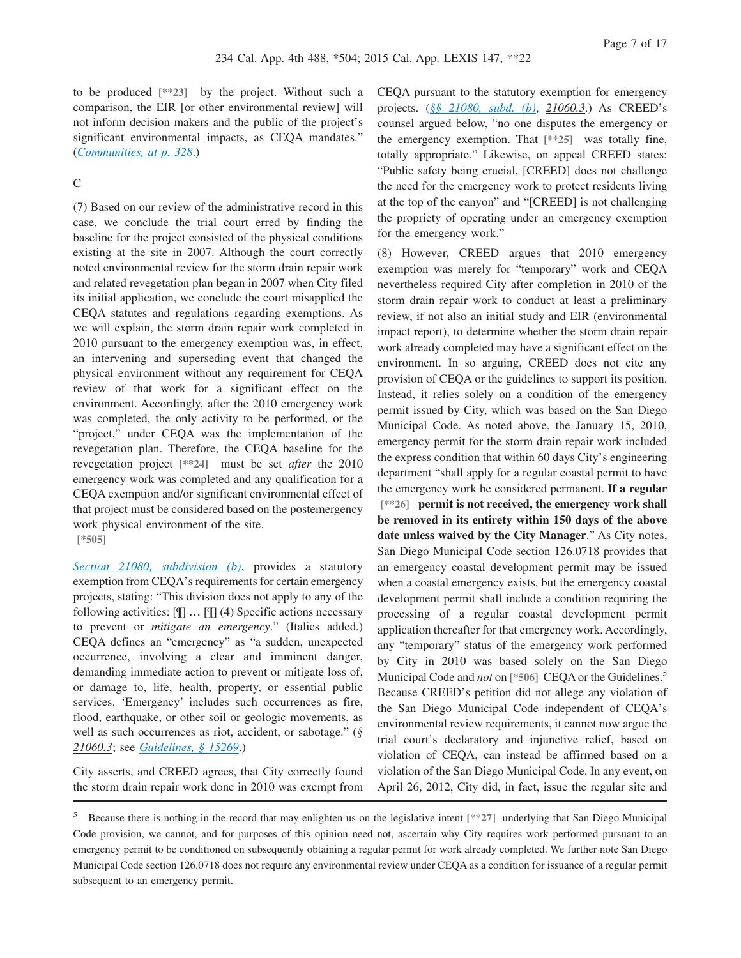to be produced **[\*\*23]** by the project. Without such a comparison, the EIR [or other environmental review] will not inform decision makers and the public of the project's significant environmental impacts, as CEQA mandates." (*[Communities, at p. 328](http://advance.lexis.com/api/document?collection=cases&id=urn:contentItem:7Y15-86G0-YB0K-J03S-00000-00&context=1000516)*.)

## $\overline{C}$

(7) Based on our review of the administrative record in this case, we conclude the trial court erred by finding the baseline for the project consisted of the physical conditions existing at the site in 2007. Although the court correctly noted environmental review for the storm drain repair work and related revegetation plan began in 2007 when City filed its initial application, we conclude the court misapplied the CEQA statutes and regulations regarding exemptions. As we will explain, the storm drain repair work completed in 2010 pursuant to the emergency exemption was, in effect, an intervening and superseding event that changed the physical environment without any requirement for CEQA review of that work for a significant effect on the environment. Accordingly, after the 2010 emergency work was completed, the only activity to be performed, or the "project," under CEQA was the implementation of the revegetation plan. Therefore, the CEQA baseline for the revegetation project **[\*\*24]** must be set *after* the 2010 emergency work was completed and any qualification for a CEQA exemption and/or significant environmental effect of that project must be considered based on the postemergency work physical environment of the site. **[\*505]**

*[Section 21080, subdivision \(b\)](http://advance.lexis.com/api/document?collection=statutes-legislation&id=urn:contentItem:4WN4-1BN0-R03K-G18G-00000-00&context=1000516)*, provides a statutory exemption from CEQA's requirements for certain emergency projects, stating: "This division does not apply to any of the following activities: [¶] … [¶] (4) Specific actions necessary to prevent or *mitigate an emergency*." (Italics added.) CEQA defines an "emergency" as "a sudden, unexpected occurrence, involving a clear and imminent danger, demanding immediate action to prevent or mitigate loss of, or damage to, life, health, property, or essential public services. 'Emergency' includes such occurrences as fire, flood, earthquake, or other soil or geologic movements, as well as such occurrences as riot, accident, or sabotage." (*§ 21060.3*; see *[Guidelines, § 15269](http://advance.lexis.com/api/document?collection=administrative-codes&id=urn:contentItem:5381-TNC0-0012-J02C-00000-00&context=1000516)*.)

City asserts, and CREED agrees, that City correctly found the storm drain repair work done in 2010 was exempt from CEQA pursuant to the statutory exemption for emergency projects. (*[§§ 21080, subd. \(b\)](http://advance.lexis.com/api/document?collection=statutes-legislation&id=urn:contentItem:4WN4-1BN0-R03K-G18G-00000-00&context=1000516)*, *21060.3*.) As CREED's counsel argued below, "no one disputes the emergency or the emergency exemption. That **[\*\*25]** was totally fine, totally appropriate." Likewise, on appeal CREED states: "Public safety being crucial, [CREED] does not challenge the need for the emergency work to protect residents living at the top of the canyon" and "[CREED] is not challenging the propriety of operating under an emergency exemption for the emergency work."

(8) However, CREED argues that 2010 emergency exemption was merely for "temporary" work and CEQA nevertheless required City after completion in 2010 of the storm drain repair work to conduct at least a preliminary review, if not also an initial study and EIR (environmental impact report), to determine whether the storm drain repair work already completed may have a significant effect on the environment. In so arguing, CREED does not cite any provision of CEQA or the guidelines to support its position. Instead, it relies solely on a condition of the emergency permit issued by City, which was based on the San Diego Municipal Code. As noted above, the January 15, 2010, emergency permit for the storm drain repair work included the express condition that within 60 days City's engineering department "shall apply for a regular coastal permit to have the emergency work be considered permanent. **If a regular [\*\*26] permit is not received, the emergency work shall be removed in its entirety within 150 days of the above date unless waived by the City Manager**." As City notes, San Diego Municipal Code section 126.0718 provides that an emergency coastal development permit may be issued when a coastal emergency exists, but the emergency coastal development permit shall include a condition requiring the processing of a regular coastal development permit application thereafter for that emergency work. Accordingly, any "temporary" status of the emergency work performed by City in 2010 was based solely on the San Diego Municipal Code and *not* on [\*506] CEQA or the Guidelines.<sup>5</sup> Because CREED's petition did not allege any violation of the San Diego Municipal Code independent of CEQA's environmental review requirements, it cannot now argue the trial court's declaratory and injunctive relief, based on violation of CEQA, can instead be affirmed based on a violation of the San Diego Municipal Code. In any event, on April 26, 2012, City did, in fact, issue the regular site and

<sup>5</sup> Because there is nothing in the record that may enlighten us on the legislative intent **[\*\*27]** underlying that San Diego Municipal Code provision, we cannot, and for purposes of this opinion need not, ascertain why City requires work performed pursuant to an emergency permit to be conditioned on subsequently obtaining a regular permit for work already completed. We further note San Diego Municipal Code section 126.0718 does not require any environmental review under CEQA as a condition for issuance of a regular permit subsequent to an emergency permit.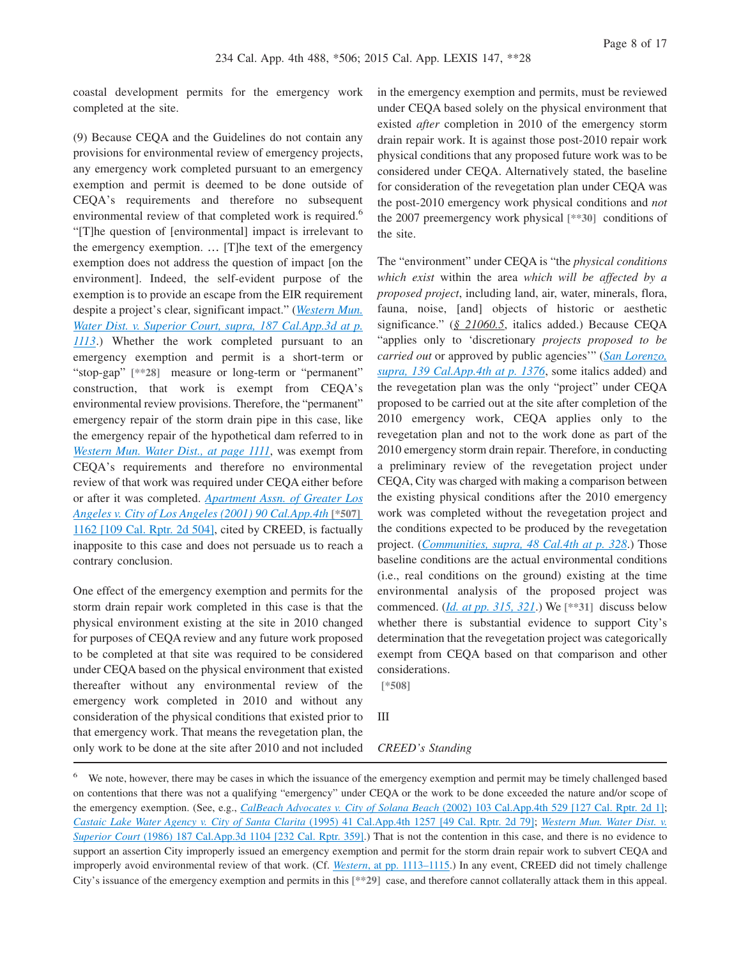coastal development permits for the emergency work completed at the site.

(9) Because CEQA and the Guidelines do not contain any provisions for environmental review of emergency projects, any emergency work completed pursuant to an emergency exemption and permit is deemed to be done outside of CEQA's requirements and therefore no subsequent environmental review of that completed work is required.<sup>6</sup> "[T]he question of [environmental] impact is irrelevant to the emergency exemption. … [T]he text of the emergency exemption does not address the question of impact [on the environment]. Indeed, the self-evident purpose of the exemption is to provide an escape from the EIR requirement despite a project's clear, significant impact." (*[Western Mun.](http://advance.lexis.com/api/document?collection=cases&id=urn:contentItem:3RX6-JXB0-003D-J2F0-00000-00&context=1000516) [Water Dist. v. Superior Court, supra, 187 Cal.App.3d at p.](http://advance.lexis.com/api/document?collection=cases&id=urn:contentItem:3RX6-JXB0-003D-J2F0-00000-00&context=1000516) [1113](http://advance.lexis.com/api/document?collection=cases&id=urn:contentItem:3RX6-JXB0-003D-J2F0-00000-00&context=1000516)*.) Whether the work completed pursuant to an emergency exemption and permit is a short-term or "stop-gap" **[\*\*28]** measure or long-term or "permanent" construction, that work is exempt from CEQA's environmental review provisions. Therefore, the "permanent" emergency repair of the storm drain pipe in this case, like the emergency repair of the hypothetical dam referred to in *[Western Mun. Water Dist., at page 1111](http://advance.lexis.com/api/document?collection=cases&id=urn:contentItem:3RX6-JXB0-003D-J2F0-00000-00&context=1000516)*, was exempt from CEQA's requirements and therefore no environmental review of that work was required under CEQA either before or after it was completed. *[Apartment Assn. of Greater Los](http://advance.lexis.com/api/document?collection=cases&id=urn:contentItem:43K4-7BC0-0039-434F-00000-00&context=1000516) [Angeles v. City of Los Angeles \(2001\) 90 Cal.App.4th](http://advance.lexis.com/api/document?collection=cases&id=urn:contentItem:43K4-7BC0-0039-434F-00000-00&context=1000516)* **[\*507]** [1162 \[109 Cal. Rptr. 2d 504\],](http://advance.lexis.com/api/document?collection=cases&id=urn:contentItem:43K4-7BC0-0039-434F-00000-00&context=1000516) cited by CREED, is factually inapposite to this case and does not persuade us to reach a contrary conclusion.

One effect of the emergency exemption and permits for the storm drain repair work completed in this case is that the physical environment existing at the site in 2010 changed for purposes of CEQA review and any future work proposed to be completed at that site was required to be considered under CEQA based on the physical environment that existed thereafter without any environmental review of the emergency work completed in 2010 and without any consideration of the physical conditions that existed prior to that emergency work. That means the revegetation plan, the only work to be done at the site after 2010 and not included in the emergency exemption and permits, must be reviewed under CEQA based solely on the physical environment that existed *after* completion in 2010 of the emergency storm drain repair work. It is against those post-2010 repair work physical conditions that any proposed future work was to be considered under CEQA. Alternatively stated, the baseline for consideration of the revegetation plan under CEQA was the post-2010 emergency work physical conditions and *not* the 2007 preemergency work physical **[\*\*30]** conditions of the site.

The "environment" under CEQA is "the *physical conditions which exist* within the area *which will be affected by a proposed project*, including land, air, water, minerals, flora, fauna, noise, [and] objects of historic or aesthetic significance." (*§ 21060.5*, italics added.) Because CEQA "applies only to 'discretionary *projects proposed to be carried out* or approved by public agencies'" (*[San Lorenzo,](http://advance.lexis.com/api/document?collection=cases&id=urn:contentItem:4K2S-JY70-0039-40WJ-00000-00&context=1000516) [supra, 139 Cal.App.4th at p. 1376](http://advance.lexis.com/api/document?collection=cases&id=urn:contentItem:4K2S-JY70-0039-40WJ-00000-00&context=1000516)*, some italics added) and the revegetation plan was the only "project" under CEQA proposed to be carried out at the site after completion of the 2010 emergency work, CEQA applies only to the revegetation plan and not to the work done as part of the 2010 emergency storm drain repair. Therefore, in conducting a preliminary review of the revegetation project under CEQA, City was charged with making a comparison between the existing physical conditions after the 2010 emergency work was completed without the revegetation project and the conditions expected to be produced by the revegetation project. (*[Communities, supra, 48 Cal.4th at p. 328](http://advance.lexis.com/api/document?collection=cases&id=urn:contentItem:7Y15-86G0-YB0K-J03S-00000-00&context=1000516)*.) Those baseline conditions are the actual environmental conditions (i.e., real conditions on the ground) existing at the time environmental analysis of the proposed project was commenced. (*[Id. at pp. 315, 321](http://advance.lexis.com/api/document?collection=cases&id=urn:contentItem:7Y15-86G0-YB0K-J03S-00000-00&context=1000516)*.) We **[\*\*31]** discuss below whether there is substantial evidence to support City's determination that the revegetation project was categorically exempt from CEQA based on that comparison and other considerations.

**[\*508]**

III

#### *CREED's Standing*

<sup>&</sup>lt;sup>6</sup> We note, however, there may be cases in which the issuance of the emergency exemption and permit may be timely challenged based on contentions that there was not a qualifying "emergency" under CEQA or the work to be done exceeded the nature and/or scope of the emergency exemption. (See, e.g., *CalBeach Advocates v. City of Solana Beach* [\(2002\) 103 Cal.App.4th 529 \[127 Cal. Rptr. 2d 1\];](http://advance.lexis.com/api/document?collection=cases&id=urn:contentItem:475J-J010-0039-452M-00000-00&context=1000516) *[Castaic Lake Water Agency v. City of Santa Clarita](http://advance.lexis.com/api/document?collection=cases&id=urn:contentItem:3RX6-FFM0-003D-J3PD-00000-00&context=1000516)* (1995) 41 Cal.App.4th 1257 [49 Cal. Rptr. 2d 79]; *[Western Mun. Water Dist. v.](http://advance.lexis.com/api/document?collection=cases&id=urn:contentItem:3RX6-JXB0-003D-J2F0-00000-00&context=1000516) Superior Court* [\(1986\) 187 Cal.App.3d 1104 \[232 Cal. Rptr. 359\].](http://advance.lexis.com/api/document?collection=cases&id=urn:contentItem:3RX6-JXB0-003D-J2F0-00000-00&context=1000516)) That is not the contention in this case, and there is no evidence to support an assertion City improperly issued an emergency exemption and permit for the storm drain repair work to subvert CEQA and improperly avoid environmental review of that work. (Cf. *Western*[, at pp. 1113–1115.](http://advance.lexis.com/api/document?collection=cases&id=urn:contentItem:3RX6-JXB0-003D-J2F0-00000-00&context=1000516)) In any event, CREED did not timely challenge City's issuance of the emergency exemption and permits in this **[\*\*29]** case, and therefore cannot collaterally attack them in this appeal.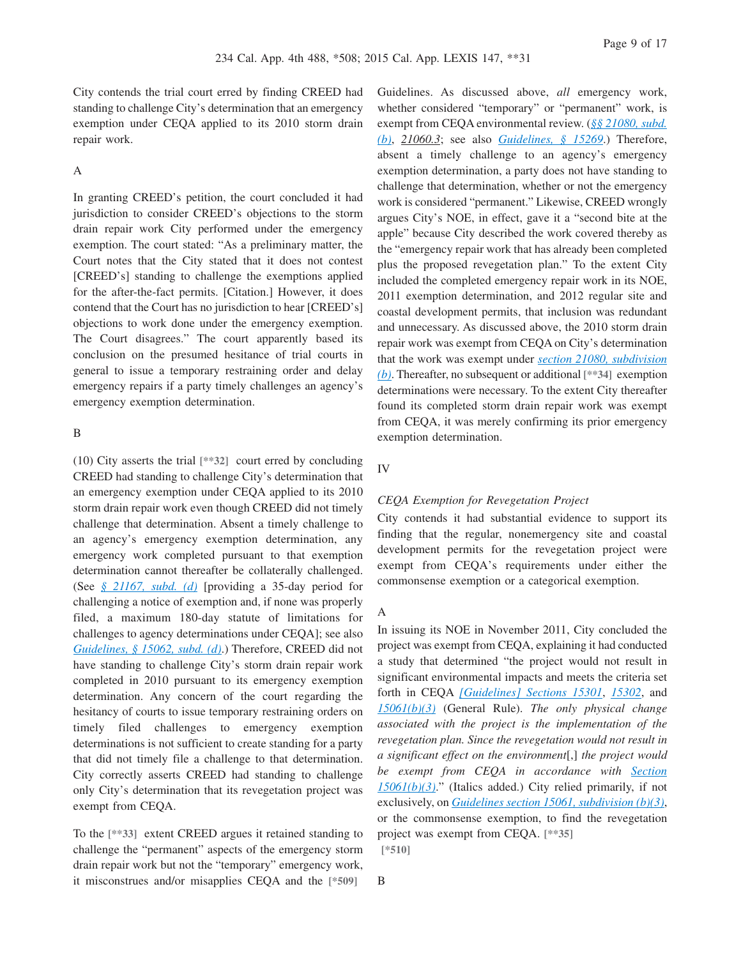City contends the trial court erred by finding CREED had standing to challenge City's determination that an emergency exemption under CEQA applied to its 2010 storm drain repair work.

## A

In granting CREED's petition, the court concluded it had jurisdiction to consider CREED's objections to the storm drain repair work City performed under the emergency exemption. The court stated: "As a preliminary matter, the Court notes that the City stated that it does not contest [CREED's] standing to challenge the exemptions applied for the after-the-fact permits. [Citation.] However, it does contend that the Court has no jurisdiction to hear [CREED's] objections to work done under the emergency exemption. The Court disagrees." The court apparently based its conclusion on the presumed hesitance of trial courts in general to issue a temporary restraining order and delay emergency repairs if a party timely challenges an agency's emergency exemption determination.

## B

(10) City asserts the trial **[\*\*32]** court erred by concluding CREED had standing to challenge City's determination that an emergency exemption under CEQA applied to its 2010 storm drain repair work even though CREED did not timely challenge that determination. Absent a timely challenge to an agency's emergency exemption determination, any emergency work completed pursuant to that exemption determination cannot thereafter be collaterally challenged. (See *[§ 21167, subd. \(d\)](http://advance.lexis.com/api/document?collection=statutes-legislation&id=urn:contentItem:4WN4-1PW0-R03K-K1G8-00000-00&context=1000516)* [providing a 35-day period for challenging a notice of exemption and, if none was properly filed, a maximum 180-day statute of limitations for challenges to agency determinations under CEQA]; see also *[Guidelines, § 15062, subd. \(d\)](http://advance.lexis.com/api/document?collection=administrative-codes&id=urn:contentItem:5381-TN80-0012-J533-00000-00&context=1000516)*.) Therefore, CREED did not have standing to challenge City's storm drain repair work completed in 2010 pursuant to its emergency exemption determination. Any concern of the court regarding the hesitancy of courts to issue temporary restraining orders on timely filed challenges to emergency exemption determinations is not sufficient to create standing for a party that did not timely file a challenge to that determination. City correctly asserts CREED had standing to challenge only City's determination that its revegetation project was exempt from CEQA.

To the **[\*\*33]** extent CREED argues it retained standing to challenge the "permanent" aspects of the emergency storm drain repair work but not the "temporary" emergency work, it misconstrues and/or misapplies CEQA and the **[\*509]**

Guidelines. As discussed above, *all* emergency work, whether considered "temporary" or "permanent" work, is exempt from CEQA environmental review. (*[§§ 21080, subd.](http://advance.lexis.com/api/document?collection=statutes-legislation&id=urn:contentItem:4WN4-1BN0-R03K-G18G-00000-00&context=1000516) [\(b\)](http://advance.lexis.com/api/document?collection=statutes-legislation&id=urn:contentItem:4WN4-1BN0-R03K-G18G-00000-00&context=1000516)*, *21060.3*; see also *[Guidelines, § 15269](http://advance.lexis.com/api/document?collection=administrative-codes&id=urn:contentItem:5381-TNC0-0012-J02C-00000-00&context=1000516)*.) Therefore, absent a timely challenge to an agency's emergency exemption determination, a party does not have standing to challenge that determination, whether or not the emergency work is considered "permanent." Likewise, CREED wrongly argues City's NOE, in effect, gave it a "second bite at the apple" because City described the work covered thereby as the "emergency repair work that has already been completed plus the proposed revegetation plan." To the extent City included the completed emergency repair work in its NOE, 2011 exemption determination, and 2012 regular site and coastal development permits, that inclusion was redundant and unnecessary. As discussed above, the 2010 storm drain repair work was exempt from CEQA on City's determination that the work was exempt under *[section 21080, subdivision](http://advance.lexis.com/api/document?collection=statutes-legislation&id=urn:contentItem:4WN4-1BN0-R03K-G18G-00000-00&context=1000516) [\(b\)](http://advance.lexis.com/api/document?collection=statutes-legislation&id=urn:contentItem:4WN4-1BN0-R03K-G18G-00000-00&context=1000516)*. Thereafter, no subsequent or additional **[\*\*34]** exemption determinations were necessary. To the extent City thereafter found its completed storm drain repair work was exempt from CEQA, it was merely confirming its prior emergency exemption determination.

#### IV

#### *CEQA Exemption for Revegetation Project*

City contends it had substantial evidence to support its finding that the regular, nonemergency site and coastal development permits for the revegetation project were exempt from CEQA's requirements under either the commonsense exemption or a categorical exemption.

#### A

In issuing its NOE in November 2011, City concluded the project was exempt from CEQA, explaining it had conducted a study that determined "the project would not result in significant environmental impacts and meets the criteria set forth in CEQA *[\[Guidelines\] Sections 15301](http://advance.lexis.com/api/document?collection=administrative-codes&id=urn:contentItem:5381-TNC0-0012-J035-00000-00&context=1000516)*, *[15302](http://advance.lexis.com/api/document?collection=administrative-codes&id=urn:contentItem:5381-TNC0-0012-J036-00000-00&context=1000516)*, and *[15061\(b\)\(3\)](http://advance.lexis.com/api/document?collection=administrative-codes&id=urn:contentItem:5381-TN80-0012-J532-00000-00&context=1000516)* (General Rule). *The only physical change associated with the project is the implementation of the revegetation plan. Since the revegetation would not result in a significant effect on the environment*[,] *the project would be exempt from CEQA in accordance with [Section](http://advance.lexis.com/api/document?collection=administrative-codes&id=urn:contentItem:5381-TN80-0012-J532-00000-00&context=1000516) [15061\(b\)\(3\)](http://advance.lexis.com/api/document?collection=administrative-codes&id=urn:contentItem:5381-TN80-0012-J532-00000-00&context=1000516)*." (Italics added.) City relied primarily, if not exclusively, on *[Guidelines section 15061, subdivision \(b\)\(3\)](http://advance.lexis.com/api/document?collection=administrative-codes&id=urn:contentItem:5381-TN80-0012-J532-00000-00&context=1000516)*, or the commonsense exemption, to find the revegetation project was exempt from CEQA. **[\*\*35] [\*510]**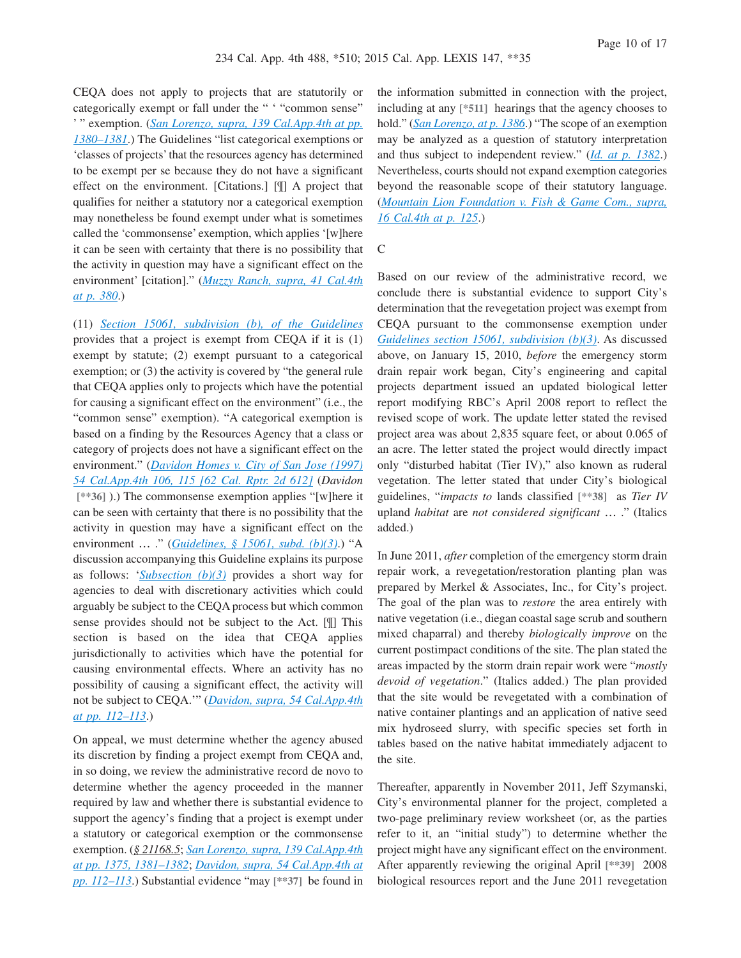CEQA does not apply to projects that are statutorily or categorically exempt or fall under the " ' "common sense" ' " exemption. (*[San Lorenzo, supra, 139 Cal.App.4th at pp.](http://advance.lexis.com/api/document?collection=cases&id=urn:contentItem:4K2S-JY70-0039-40WJ-00000-00&context=1000516) [1380–1381](http://advance.lexis.com/api/document?collection=cases&id=urn:contentItem:4K2S-JY70-0039-40WJ-00000-00&context=1000516)*.) The Guidelines "list categorical exemptions or 'classes of projects' that the resources agency has determined to be exempt per se because they do not have a significant effect on the environment. [Citations.] [¶] A project that qualifies for neither a statutory nor a categorical exemption may nonetheless be found exempt under what is sometimes called the 'commonsense' exemption, which applies '[w]here it can be seen with certainty that there is no possibility that the activity in question may have a significant effect on the environment' [citation]." (*[Muzzy Ranch, supra, 41 Cal.4th](http://advance.lexis.com/api/document?collection=cases&id=urn:contentItem:4P19-M670-TXFN-82J2-00000-00&context=1000516) [at p. 380](http://advance.lexis.com/api/document?collection=cases&id=urn:contentItem:4P19-M670-TXFN-82J2-00000-00&context=1000516)*.)

(11) *[Section 15061, subdivision \(b\), of the Guidelines](http://advance.lexis.com/api/document?collection=administrative-codes&id=urn:contentItem:5381-TN80-0012-J532-00000-00&context=1000516)* provides that a project is exempt from CEQA if it is (1) exempt by statute; (2) exempt pursuant to a categorical exemption; or (3) the activity is covered by "the general rule that CEQA applies only to projects which have the potential for causing a significant effect on the environment" (i.e., the "common sense" exemption). "A categorical exemption is based on a finding by the Resources Agency that a class or category of projects does not have a significant effect on the environment." (*[Davidon Homes v. City of San Jose \(1997\)](http://advance.lexis.com/api/document?collection=cases&id=urn:contentItem:3RJN-2TG0-0039-43TP-00000-00&context=1000516) [54 Cal.App.4th 106, 115 \[62 Cal. Rptr. 2d 612\]](http://advance.lexis.com/api/document?collection=cases&id=urn:contentItem:3RJN-2TG0-0039-43TP-00000-00&context=1000516)* (*Davidon* **[\*\*36]** ).) The commonsense exemption applies "[w]here it can be seen with certainty that there is no possibility that the activity in question may have a significant effect on the environment … ." (*[Guidelines, § 15061, subd. \(b\)\(3\)](http://advance.lexis.com/api/document?collection=administrative-codes&id=urn:contentItem:5381-TN80-0012-J532-00000-00&context=1000516)*.) "A discussion accompanying this Guideline explains its purpose as follows: '*[Subsection \(b\)\(3\)](http://advance.lexis.com/api/document?collection=administrative-codes&id=urn:contentItem:5381-TN80-0012-J532-00000-00&context=1000516)* provides a short way for agencies to deal with discretionary activities which could arguably be subject to the CEQA process but which common sense provides should not be subject to the Act. [¶] This section is based on the idea that CEQA applies jurisdictionally to activities which have the potential for causing environmental effects. Where an activity has no possibility of causing a significant effect, the activity will not be subject to CEQA.'" (*[Davidon, supra, 54 Cal.App.4th](http://advance.lexis.com/api/document?collection=cases&id=urn:contentItem:3RJN-2TG0-0039-43TP-00000-00&context=1000516) [at pp. 112–113](http://advance.lexis.com/api/document?collection=cases&id=urn:contentItem:3RJN-2TG0-0039-43TP-00000-00&context=1000516)*.)

On appeal, we must determine whether the agency abused its discretion by finding a project exempt from CEQA and, in so doing, we review the administrative record de novo to determine whether the agency proceeded in the manner required by law and whether there is substantial evidence to support the agency's finding that a project is exempt under a statutory or categorical exemption or the commonsense exemption. (*§ 21168.5*; *[San Lorenzo, supra, 139 Cal.App.4th](http://advance.lexis.com/api/document?collection=cases&id=urn:contentItem:4K2S-JY70-0039-40WJ-00000-00&context=1000516) [at pp. 1375, 1381–1382](http://advance.lexis.com/api/document?collection=cases&id=urn:contentItem:4K2S-JY70-0039-40WJ-00000-00&context=1000516)*; *[Davidon, supra, 54 Cal.App.4th at](http://advance.lexis.com/api/document?collection=cases&id=urn:contentItem:3RJN-2TG0-0039-43TP-00000-00&context=1000516) [pp. 112–113](http://advance.lexis.com/api/document?collection=cases&id=urn:contentItem:3RJN-2TG0-0039-43TP-00000-00&context=1000516)*.) Substantial evidence "may **[\*\*37]** be found in the information submitted in connection with the project, including at any **[\*511]** hearings that the agency chooses to hold." (*[San Lorenzo, at p. 1386](http://advance.lexis.com/api/document?collection=cases&id=urn:contentItem:4K2S-JY70-0039-40WJ-00000-00&context=1000516)*.) "The scope of an exemption may be analyzed as a question of statutory interpretation and thus subject to independent review." (*[Id. at p. 1382](http://advance.lexis.com/api/document?collection=cases&id=urn:contentItem:4K2S-JY70-0039-40WJ-00000-00&context=1000516)*.) Nevertheless, courts should not expand exemption categories beyond the reasonable scope of their statutory language. (*[Mountain Lion Foundation v. Fish & Game Com., supra,](http://advance.lexis.com/api/document?collection=cases&id=urn:contentItem:3RHR-WD40-0039-43JM-00000-00&context=1000516) [16 Cal.4th at p. 125](http://advance.lexis.com/api/document?collection=cases&id=urn:contentItem:3RHR-WD40-0039-43JM-00000-00&context=1000516)*.)

### C

Based on our review of the administrative record, we conclude there is substantial evidence to support City's determination that the revegetation project was exempt from CEQA pursuant to the commonsense exemption under *[Guidelines section 15061, subdivision \(b\)\(3\)](http://advance.lexis.com/api/document?collection=administrative-codes&id=urn:contentItem:5381-TN80-0012-J532-00000-00&context=1000516)*. As discussed above, on January 15, 2010, *before* the emergency storm drain repair work began, City's engineering and capital projects department issued an updated biological letter report modifying RBC's April 2008 report to reflect the revised scope of work. The update letter stated the revised project area was about 2,835 square feet, or about 0.065 of an acre. The letter stated the project would directly impact only "disturbed habitat (Tier IV)," also known as ruderal vegetation. The letter stated that under City's biological guidelines, "*impacts to* lands classified **[\*\*38]** as *Tier IV* upland *habitat* are *not considered significant* … ." (Italics added.)

In June 2011, *after* completion of the emergency storm drain repair work, a revegetation/restoration planting plan was prepared by Merkel & Associates, Inc., for City's project. The goal of the plan was to *restore* the area entirely with native vegetation (i.e., diegan coastal sage scrub and southern mixed chaparral) and thereby *biologically improve* on the current postimpact conditions of the site. The plan stated the areas impacted by the storm drain repair work were "*mostly devoid of vegetation*." (Italics added.) The plan provided that the site would be revegetated with a combination of native container plantings and an application of native seed mix hydroseed slurry, with specific species set forth in tables based on the native habitat immediately adjacent to the site.

Thereafter, apparently in November 2011, Jeff Szymanski, City's environmental planner for the project, completed a two-page preliminary review worksheet (or, as the parties refer to it, an "initial study") to determine whether the project might have any significant effect on the environment. After apparently reviewing the original April **[\*\*39]** 2008 biological resources report and the June 2011 revegetation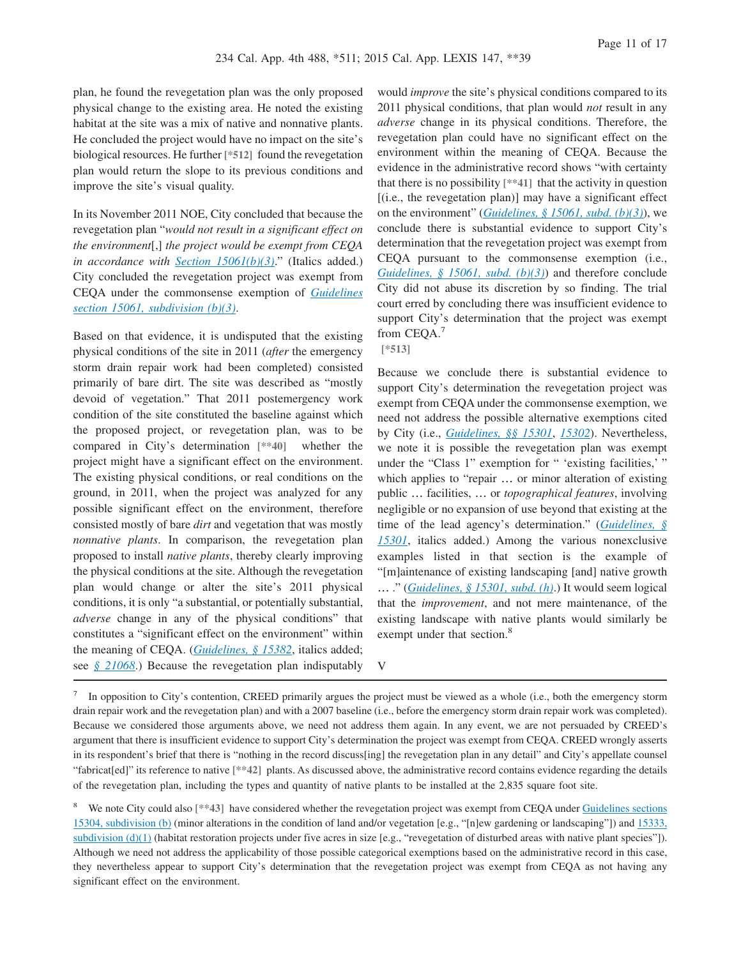plan, he found the revegetation plan was the only proposed physical change to the existing area. He noted the existing habitat at the site was a mix of native and nonnative plants. He concluded the project would have no impact on the site's biological resources. He further **[\*512]** found the revegetation plan would return the slope to its previous conditions and improve the site's visual quality.

In its November 2011 NOE, City concluded that because the revegetation plan "*would not result in a significant effect on the environment*[,] *the project would be exempt from CEQA in accordance with [Section 15061\(b\)\(3\)](http://advance.lexis.com/api/document?collection=administrative-codes&id=urn:contentItem:5381-TN80-0012-J532-00000-00&context=1000516)*." (Italics added.) City concluded the revegetation project was exempt from CEQA under the commonsense exemption of *[Guidelines](http://advance.lexis.com/api/document?collection=administrative-codes&id=urn:contentItem:5381-TN80-0012-J532-00000-00&context=1000516) [section 15061, subdivision \(b\)\(3\)](http://advance.lexis.com/api/document?collection=administrative-codes&id=urn:contentItem:5381-TN80-0012-J532-00000-00&context=1000516)*.

Based on that evidence, it is undisputed that the existing physical conditions of the site in 2011 (*after* the emergency storm drain repair work had been completed) consisted primarily of bare dirt. The site was described as "mostly devoid of vegetation." That 2011 postemergency work condition of the site constituted the baseline against which the proposed project, or revegetation plan, was to be compared in City's determination **[\*\*40]** whether the project might have a significant effect on the environment. The existing physical conditions, or real conditions on the ground, in 2011, when the project was analyzed for any possible significant effect on the environment, therefore consisted mostly of bare *dirt* and vegetation that was mostly *nonnative plants*. In comparison, the revegetation plan proposed to install *native plants*, thereby clearly improving the physical conditions at the site. Although the revegetation plan would change or alter the site's 2011 physical conditions, it is only "a substantial, or potentially substantial, *adverse* change in any of the physical conditions" that constitutes a "significant effect on the environment" within the meaning of CEQA. (*[Guidelines, § 15382](http://advance.lexis.com/api/document?collection=administrative-codes&id=urn:contentItem:5381-TND0-0012-J05J-00000-00&context=1000516)*, italics added; see *[§ 21068](http://advance.lexis.com/api/document?collection=statutes-legislation&id=urn:contentItem:4WN4-1BN0-R03K-G188-00000-00&context=1000516)*.) Because the revegetation plan indisputably

would *improve* the site's physical conditions compared to its 2011 physical conditions, that plan would *not* result in any *adverse* change in its physical conditions. Therefore, the revegetation plan could have no significant effect on the environment within the meaning of CEQA. Because the evidence in the administrative record shows "with certainty that there is no possibility **[\*\*41]** that the activity in question [(i.e., the revegetation plan)] may have a significant effect on the environment" (*[Guidelines, § 15061, subd. \(b\)\(3\)](http://advance.lexis.com/api/document?collection=administrative-codes&id=urn:contentItem:5381-TN80-0012-J532-00000-00&context=1000516)*), we conclude there is substantial evidence to support City's determination that the revegetation project was exempt from CEQA pursuant to the commonsense exemption (i.e., *[Guidelines, § 15061, subd. \(b\)\(3\)](http://advance.lexis.com/api/document?collection=administrative-codes&id=urn:contentItem:5381-TN80-0012-J532-00000-00&context=1000516)*) and therefore conclude City did not abuse its discretion by so finding. The trial court erred by concluding there was insufficient evidence to support City's determination that the project was exempt from CEQA.<sup>7</sup>

## **[\*513]**

Because we conclude there is substantial evidence to support City's determination the revegetation project was exempt from CEQA under the commonsense exemption, we need not address the possible alternative exemptions cited by City (i.e., *[Guidelines, §§ 15301](http://advance.lexis.com/api/document?collection=administrative-codes&id=urn:contentItem:5381-TNC0-0012-J035-00000-00&context=1000516)*, *[15302](http://advance.lexis.com/api/document?collection=administrative-codes&id=urn:contentItem:5381-TNC0-0012-J036-00000-00&context=1000516)*). Nevertheless, we note it is possible the revegetation plan was exempt under the "Class 1" exemption for " 'existing facilities,' " which applies to "repair … or minor alteration of existing public … facilities, … or *topographical features*, involving negligible or no expansion of use beyond that existing at the time of the lead agency's determination." (*[Guidelines, §](http://advance.lexis.com/api/document?collection=administrative-codes&id=urn:contentItem:5381-TNC0-0012-J035-00000-00&context=1000516) [15301](http://advance.lexis.com/api/document?collection=administrative-codes&id=urn:contentItem:5381-TNC0-0012-J035-00000-00&context=1000516)*, italics added.) Among the various nonexclusive examples listed in that section is the example of "[m]aintenance of existing landscaping [and] native growth … ." (*[Guidelines, § 15301, subd. \(h\)](http://advance.lexis.com/api/document?collection=administrative-codes&id=urn:contentItem:5381-TNC0-0012-J035-00000-00&context=1000516)*.) It would seem logical that the *improvement*, and not mere maintenance, of the existing landscape with native plants would similarly be exempt under that section.<sup>8</sup>

<sup>7</sup> In opposition to City's contention, CREED primarily argues the project must be viewed as a whole (i.e., both the emergency storm drain repair work and the revegetation plan) and with a 2007 baseline (i.e., before the emergency storm drain repair work was completed). Because we considered those arguments above, we need not address them again. In any event, we are not persuaded by CREED's argument that there is insufficient evidence to support City's determination the project was exempt from CEQA. CREED wrongly asserts in its respondent's brief that there is "nothing in the record discuss[ing] the revegetation plan in any detail" and City's appellate counsel "fabricat[ed]" its reference to native **[\*\*42]** plants. As discussed above, the administrative record contains evidence regarding the details of the revegetation plan, including the types and quantity of native plants to be installed at the 2,835 square foot site.

<sup>8</sup> We note City could also [\*\*43] have considered whether the revegetation project was exempt from CEQA under [Guidelines sections](http://advance.lexis.com/api/document?collection=administrative-codes&id=urn:contentItem:5381-TNC0-0012-J038-00000-00&context=1000516) [15304, subdivision \(b\)](http://advance.lexis.com/api/document?collection=administrative-codes&id=urn:contentItem:5381-TNC0-0012-J038-00000-00&context=1000516) (minor alterations in the condition of land and/or vegetation [e.g., "[n]ew gardening or landscaping"]) and [15333,](http://advance.lexis.com/api/document?collection=administrative-codes&id=urn:contentItem:5381-TND0-0012-J049-00000-00&context=1000516) subdivision  $(d)(1)$  (habitat restoration projects under five acres in size [e.g., "revegetation of disturbed areas with native plant species"]). Although we need not address the applicability of those possible categorical exemptions based on the administrative record in this case, they nevertheless appear to support City's determination that the revegetation project was exempt from CEQA as not having any significant effect on the environment.

V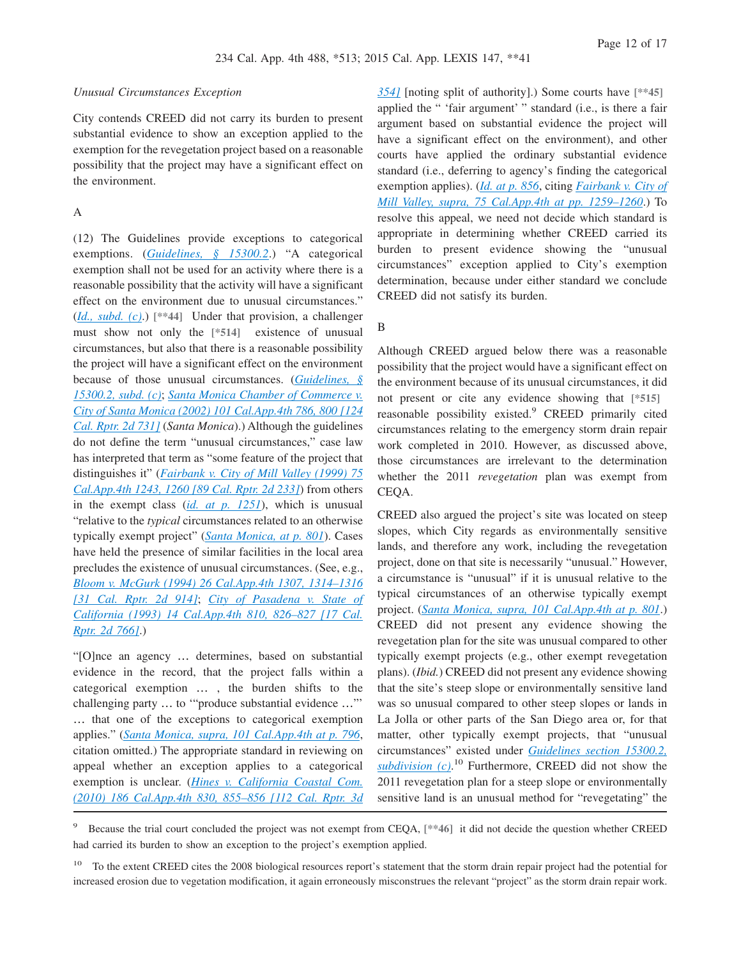#### *Unusual Circumstances Exception*

City contends CREED did not carry its burden to present substantial evidence to show an exception applied to the exemption for the revegetation project based on a reasonable possibility that the project may have a significant effect on the environment.

## A

(12) The Guidelines provide exceptions to categorical exemptions. (*[Guidelines, § 15300.2](http://advance.lexis.com/api/document?collection=administrative-codes&id=urn:contentItem:5381-TNC0-0012-J032-00000-00&context=1000516)*.) "A categorical exemption shall not be used for an activity where there is a reasonable possibility that the activity will have a significant effect on the environment due to unusual circumstances." (*[Id., subd. \(c\)](http://advance.lexis.com/api/document?collection=administrative-codes&id=urn:contentItem:5381-TNC0-0012-J032-00000-00&context=1000516)*.) **[\*\*44]** Under that provision, a challenger must show not only the **[\*514]** existence of unusual circumstances, but also that there is a reasonable possibility the project will have a significant effect on the environment because of those unusual circumstances. (*[Guidelines, §](http://advance.lexis.com/api/document?collection=administrative-codes&id=urn:contentItem:5381-TNC0-0012-J032-00000-00&context=1000516) [15300.2, subd. \(c\)](http://advance.lexis.com/api/document?collection=administrative-codes&id=urn:contentItem:5381-TNC0-0012-J032-00000-00&context=1000516)*; *[Santa Monica Chamber of Commerce v.](http://advance.lexis.com/api/document?collection=cases&id=urn:contentItem:46MN-J1R0-0039-412D-00000-00&context=1000516) [City of Santa Monica \(2002\) 101 Cal.App.4th 786, 800 \[124](http://advance.lexis.com/api/document?collection=cases&id=urn:contentItem:46MN-J1R0-0039-412D-00000-00&context=1000516) [Cal. Rptr. 2d 731\]](http://advance.lexis.com/api/document?collection=cases&id=urn:contentItem:46MN-J1R0-0039-412D-00000-00&context=1000516)* (*Santa Monica*).) Although the guidelines do not define the term "unusual circumstances," case law has interpreted that term as "some feature of the project that distinguishes it" (*[Fairbank v. City of Mill Valley \(1999\) 75](http://advance.lexis.com/api/document?collection=cases&id=urn:contentItem:3Y15-RNN0-0039-42M9-00000-00&context=1000516) [Cal.App.4th 1243, 1260 \[89 Cal. Rptr. 2d 233\]](http://advance.lexis.com/api/document?collection=cases&id=urn:contentItem:3Y15-RNN0-0039-42M9-00000-00&context=1000516)*) from others in the exempt class (*[id. at p. 1251](http://advance.lexis.com/api/document?collection=cases&id=urn:contentItem:3Y15-RNN0-0039-42M9-00000-00&context=1000516)*), which is unusual "relative to the *typical* circumstances related to an otherwise typically exempt project" (*[Santa Monica, at p. 801](http://advance.lexis.com/api/document?collection=cases&id=urn:contentItem:46MN-J1R0-0039-412D-00000-00&context=1000516)*). Cases have held the presence of similar facilities in the local area precludes the existence of unusual circumstances. (See, e.g., *[Bloom v. McGurk \(1994\) 26 Cal.App.4th 1307, 1314–1316](http://advance.lexis.com/api/document?collection=cases&id=urn:contentItem:3RX6-G210-003D-J0NW-00000-00&context=1000516) [\[31 Cal. Rptr. 2d 914\]](http://advance.lexis.com/api/document?collection=cases&id=urn:contentItem:3RX6-G210-003D-J0NW-00000-00&context=1000516)*; *[City of Pasadena v. State of](http://advance.lexis.com/api/document?collection=cases&id=urn:contentItem:3RX6-GJY0-003D-J2SG-00000-00&context=1000516) [California \(1993\) 14 Cal.App.4th 810, 826–827 \[17 Cal.](http://advance.lexis.com/api/document?collection=cases&id=urn:contentItem:3RX6-GJY0-003D-J2SG-00000-00&context=1000516) [Rptr. 2d 766\]](http://advance.lexis.com/api/document?collection=cases&id=urn:contentItem:3RX6-GJY0-003D-J2SG-00000-00&context=1000516)*.)

"[O]nce an agency … determines, based on substantial evidence in the record, that the project falls within a categorical exemption … , the burden shifts to the challenging party … to '"produce substantial evidence …"' … that one of the exceptions to categorical exemption applies." (*[Santa Monica, supra, 101 Cal.App.4th at p. 796](http://advance.lexis.com/api/document?collection=cases&id=urn:contentItem:46MN-J1R0-0039-412D-00000-00&context=1000516)*, citation omitted.) The appropriate standard in reviewing on appeal whether an exception applies to a categorical exemption is unclear. (*[Hines v. California Coastal Com.](http://advance.lexis.com/api/document?collection=cases&id=urn:contentItem:7YXS-9NY0-YB0K-H06Y-00000-00&context=1000516) [\(2010\) 186 Cal.App.4th 830, 855–856 \[112 Cal. Rptr. 3d](http://advance.lexis.com/api/document?collection=cases&id=urn:contentItem:7YXS-9NY0-YB0K-H06Y-00000-00&context=1000516)* *[354\]](http://advance.lexis.com/api/document?collection=cases&id=urn:contentItem:7YXS-9NY0-YB0K-H06Y-00000-00&context=1000516)* [noting split of authority].) Some courts have **[\*\*45]** applied the " 'fair argument' " standard (i.e., is there a fair argument based on substantial evidence the project will have a significant effect on the environment), and other courts have applied the ordinary substantial evidence standard (i.e., deferring to agency's finding the categorical exemption applies). (*[Id. at p. 856](http://advance.lexis.com/api/document?collection=cases&id=urn:contentItem:7YXS-9NY0-YB0K-H06Y-00000-00&context=1000516)*, citing *[Fairbank v. City of](http://advance.lexis.com/api/document?collection=cases&id=urn:contentItem:3Y15-RNN0-0039-42M9-00000-00&context=1000516) [Mill Valley, supra, 75 Cal.App.4th at pp. 1259–1260](http://advance.lexis.com/api/document?collection=cases&id=urn:contentItem:3Y15-RNN0-0039-42M9-00000-00&context=1000516)*.) To resolve this appeal, we need not decide which standard is appropriate in determining whether CREED carried its burden to present evidence showing the "unusual circumstances" exception applied to City's exemption determination, because under either standard we conclude CREED did not satisfy its burden.

B

Although CREED argued below there was a reasonable possibility that the project would have a significant effect on the environment because of its unusual circumstances, it did not present or cite any evidence showing that **[\*515]** reasonable possibility existed.<sup>9</sup> CREED primarily cited circumstances relating to the emergency storm drain repair work completed in 2010. However, as discussed above, those circumstances are irrelevant to the determination whether the 2011 *revegetation* plan was exempt from CEQA.

CREED also argued the project's site was located on steep slopes, which City regards as environmentally sensitive lands, and therefore any work, including the revegetation project, done on that site is necessarily "unusual." However, a circumstance is "unusual" if it is unusual relative to the typical circumstances of an otherwise typically exempt project. (*[Santa Monica, supra, 101 Cal.App.4th at p. 801](http://advance.lexis.com/api/document?collection=cases&id=urn:contentItem:46MN-J1R0-0039-412D-00000-00&context=1000516)*.) CREED did not present any evidence showing the revegetation plan for the site was unusual compared to other typically exempt projects (e.g., other exempt revegetation plans). (*Ibid.*) CREED did not present any evidence showing that the site's steep slope or environmentally sensitive land was so unusual compared to other steep slopes or lands in La Jolla or other parts of the San Diego area or, for that matter, other typically exempt projects, that "unusual circumstances" existed under *[Guidelines section 15300.2,](http://advance.lexis.com/api/document?collection=administrative-codes&id=urn:contentItem:5381-TNC0-0012-J032-00000-00&context=1000516) [subdivision \(c\)](http://advance.lexis.com/api/document?collection=administrative-codes&id=urn:contentItem:5381-TNC0-0012-J032-00000-00&context=1000516)*. <sup>10</sup> Furthermore, CREED did not show the 2011 revegetation plan for a steep slope or environmentally sensitive land is an unusual method for "revegetating" the

<sup>9</sup> Because the trial court concluded the project was not exempt from CEQA, **[\*\*46]** it did not decide the question whether CREED had carried its burden to show an exception to the project's exemption applied.

<sup>10</sup> To the extent CREED cites the 2008 biological resources report's statement that the storm drain repair project had the potential for increased erosion due to vegetation modification, it again erroneously misconstrues the relevant "project" as the storm drain repair work.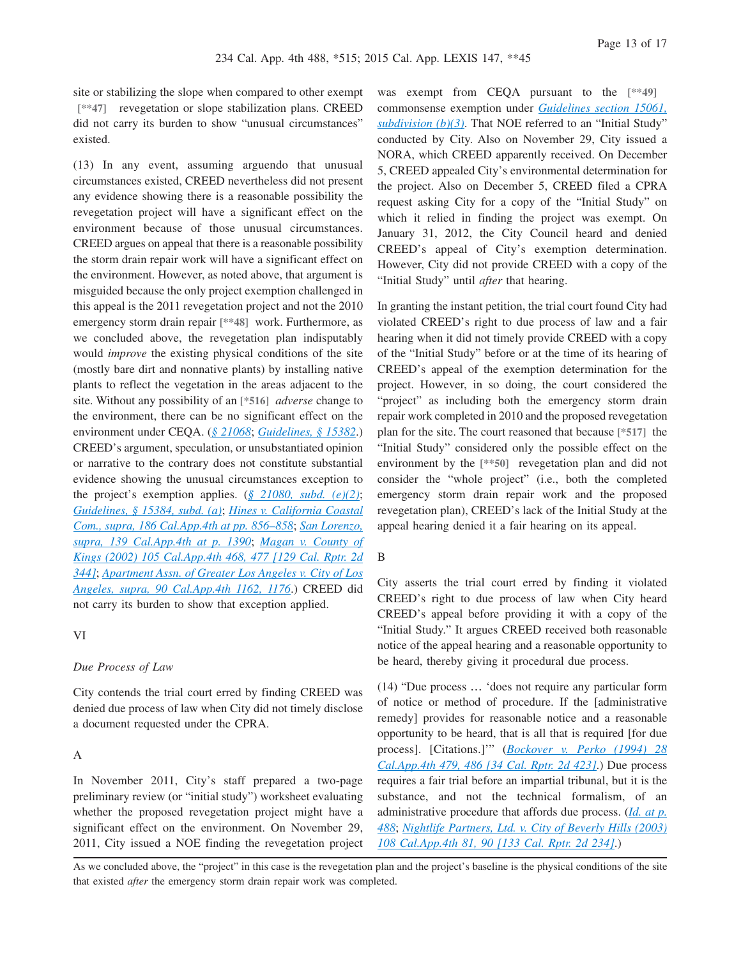site or stabilizing the slope when compared to other exempt **[\*\*47]** revegetation or slope stabilization plans. CREED did not carry its burden to show "unusual circumstances" existed.

(13) In any event, assuming arguendo that unusual circumstances existed, CREED nevertheless did not present any evidence showing there is a reasonable possibility the revegetation project will have a significant effect on the environment because of those unusual circumstances. CREED argues on appeal that there is a reasonable possibility the storm drain repair work will have a significant effect on the environment. However, as noted above, that argument is misguided because the only project exemption challenged in this appeal is the 2011 revegetation project and not the 2010 emergency storm drain repair **[\*\*48]** work. Furthermore, as we concluded above, the revegetation plan indisputably would *improve* the existing physical conditions of the site (mostly bare dirt and nonnative plants) by installing native plants to reflect the vegetation in the areas adjacent to the site. Without any possibility of an **[\*516]** *adverse* change to the environment, there can be no significant effect on the environment under CEQA. (*[§ 21068](http://advance.lexis.com/api/document?collection=statutes-legislation&id=urn:contentItem:4WN4-1BN0-R03K-G188-00000-00&context=1000516)*; *[Guidelines, § 15382](http://advance.lexis.com/api/document?collection=administrative-codes&id=urn:contentItem:5381-TND0-0012-J05J-00000-00&context=1000516)*.) CREED's argument, speculation, or unsubstantiated opinion or narrative to the contrary does not constitute substantial evidence showing the unusual circumstances exception to the project's exemption applies. (*[§ 21080, subd. \(e\)\(2\)](http://advance.lexis.com/api/document?collection=statutes-legislation&id=urn:contentItem:4WN4-1BN0-R03K-G18G-00000-00&context=1000516)*; *[Guidelines, § 15384, subd. \(a\)](http://advance.lexis.com/api/document?collection=administrative-codes&id=urn:contentItem:5381-TND0-0012-J05M-00000-00&context=1000516)*; *[Hines v. California Coastal](http://advance.lexis.com/api/document?collection=cases&id=urn:contentItem:7YXS-9NY0-YB0K-H06Y-00000-00&context=1000516) [Com., supra, 186 Cal.App.4th at pp. 856–858](http://advance.lexis.com/api/document?collection=cases&id=urn:contentItem:7YXS-9NY0-YB0K-H06Y-00000-00&context=1000516)*; *[San Lorenzo,](http://advance.lexis.com/api/document?collection=cases&id=urn:contentItem:4K2S-JY70-0039-40WJ-00000-00&context=1000516) [supra, 139 Cal.App.4th at p. 1390](http://advance.lexis.com/api/document?collection=cases&id=urn:contentItem:4K2S-JY70-0039-40WJ-00000-00&context=1000516)*; *[Magan v. County of](http://advance.lexis.com/api/document?collection=cases&id=urn:contentItem:47PN-KX00-0039-44H7-00000-00&context=1000516) [Kings \(2002\) 105 Cal.App.4th 468, 477 \[129 Cal. Rptr. 2d](http://advance.lexis.com/api/document?collection=cases&id=urn:contentItem:47PN-KX00-0039-44H7-00000-00&context=1000516) [344\]](http://advance.lexis.com/api/document?collection=cases&id=urn:contentItem:47PN-KX00-0039-44H7-00000-00&context=1000516)*; *[Apartment Assn. of Greater Los Angeles v. City of Los](http://advance.lexis.com/api/document?collection=cases&id=urn:contentItem:43K4-7BC0-0039-434F-00000-00&context=1000516) [Angeles, supra, 90 Cal.App.4th 1162, 1176](http://advance.lexis.com/api/document?collection=cases&id=urn:contentItem:43K4-7BC0-0039-434F-00000-00&context=1000516)*.) CREED did not carry its burden to show that exception applied.

## VI

#### *Due Process of Law*

City contends the trial court erred by finding CREED was denied due process of law when City did not timely disclose a document requested under the CPRA.

#### A

In November 2011, City's staff prepared a two-page preliminary review (or "initial study") worksheet evaluating whether the proposed revegetation project might have a significant effect on the environment. On November 29, 2011, City issued a NOE finding the revegetation project was exempt from CEQA pursuant to the **[\*\*49]** commonsense exemption under *[Guidelines section 15061,](http://advance.lexis.com/api/document?collection=administrative-codes&id=urn:contentItem:5381-TN80-0012-J532-00000-00&context=1000516) [subdivision \(b\)\(3\)](http://advance.lexis.com/api/document?collection=administrative-codes&id=urn:contentItem:5381-TN80-0012-J532-00000-00&context=1000516)*. That NOE referred to an "Initial Study" conducted by City. Also on November 29, City issued a NORA, which CREED apparently received. On December 5, CREED appealed City's environmental determination for the project. Also on December 5, CREED filed a CPRA request asking City for a copy of the "Initial Study" on which it relied in finding the project was exempt. On January 31, 2012, the City Council heard and denied CREED's appeal of City's exemption determination. However, City did not provide CREED with a copy of the "Initial Study" until *after* that hearing.

In granting the instant petition, the trial court found City had violated CREED's right to due process of law and a fair hearing when it did not timely provide CREED with a copy of the "Initial Study" before or at the time of its hearing of CREED's appeal of the exemption determination for the project. However, in so doing, the court considered the "project" as including both the emergency storm drain repair work completed in 2010 and the proposed revegetation plan for the site. The court reasoned that because **[\*517]** the "Initial Study" considered only the possible effect on the environment by the **[\*\*50]** revegetation plan and did not consider the "whole project" (i.e., both the completed emergency storm drain repair work and the proposed revegetation plan), CREED's lack of the Initial Study at the appeal hearing denied it a fair hearing on its appeal.

### B

City asserts the trial court erred by finding it violated CREED's right to due process of law when City heard CREED's appeal before providing it with a copy of the "Initial Study." It argues CREED received both reasonable notice of the appeal hearing and a reasonable opportunity to be heard, thereby giving it procedural due process.

(14) "Due process … 'does not require any particular form of notice or method of procedure. If the [administrative remedy] provides for reasonable notice and a reasonable opportunity to be heard, that is all that is required [for due process]. [Citations.]'" (*[Bockover v. Perko \(1994\) 28](http://advance.lexis.com/api/document?collection=cases&id=urn:contentItem:3RX6-G0X0-003D-J0HB-00000-00&context=1000516) [Cal.App.4th 479, 486 \[34 Cal. Rptr. 2d 423\]](http://advance.lexis.com/api/document?collection=cases&id=urn:contentItem:3RX6-G0X0-003D-J0HB-00000-00&context=1000516)*.) Due process requires a fair trial before an impartial tribunal, but it is the substance, and not the technical formalism, of an administrative procedure that affords due process. (*[Id. at p.](http://advance.lexis.com/api/document?collection=cases&id=urn:contentItem:3RX6-G0X0-003D-J0HB-00000-00&context=1000516) [488](http://advance.lexis.com/api/document?collection=cases&id=urn:contentItem:3RX6-G0X0-003D-J0HB-00000-00&context=1000516)*; *[Nightlife Partners, Ltd. v. City of Beverly Hills \(2003\)](http://advance.lexis.com/api/document?collection=cases&id=urn:contentItem:48FD-JRY0-0039-40KX-00000-00&context=1000516) [108 Cal.App.4th 81, 90 \[133 Cal. Rptr. 2d 234\]](http://advance.lexis.com/api/document?collection=cases&id=urn:contentItem:48FD-JRY0-0039-40KX-00000-00&context=1000516)*.)

As we concluded above, the "project" in this case is the revegetation plan and the project's baseline is the physical conditions of the site that existed *after* the emergency storm drain repair work was completed.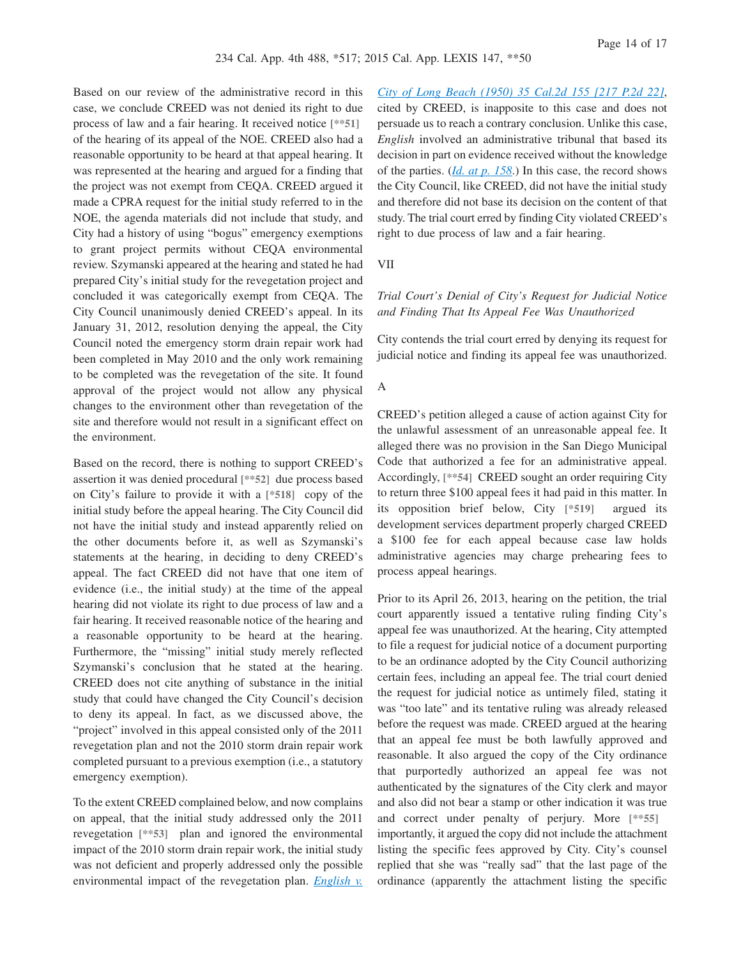Based on our review of the administrative record in this case, we conclude CREED was not denied its right to due process of law and a fair hearing. It received notice **[\*\*51]** of the hearing of its appeal of the NOE. CREED also had a reasonable opportunity to be heard at that appeal hearing. It was represented at the hearing and argued for a finding that the project was not exempt from CEQA. CREED argued it made a CPRA request for the initial study referred to in the NOE, the agenda materials did not include that study, and City had a history of using "bogus" emergency exemptions to grant project permits without CEQA environmental review. Szymanski appeared at the hearing and stated he had prepared City's initial study for the revegetation project and concluded it was categorically exempt from CEQA. The City Council unanimously denied CREED's appeal. In its January 31, 2012, resolution denying the appeal, the City Council noted the emergency storm drain repair work had been completed in May 2010 and the only work remaining to be completed was the revegetation of the site. It found approval of the project would not allow any physical changes to the environment other than revegetation of the site and therefore would not result in a significant effect on the environment.

Based on the record, there is nothing to support CREED's assertion it was denied procedural **[\*\*52]** due process based on City's failure to provide it with a **[\*518]** copy of the initial study before the appeal hearing. The City Council did not have the initial study and instead apparently relied on the other documents before it, as well as Szymanski's statements at the hearing, in deciding to deny CREED's appeal. The fact CREED did not have that one item of evidence (i.e., the initial study) at the time of the appeal hearing did not violate its right to due process of law and a fair hearing. It received reasonable notice of the hearing and a reasonable opportunity to be heard at the hearing. Furthermore, the "missing" initial study merely reflected Szymanski's conclusion that he stated at the hearing. CREED does not cite anything of substance in the initial study that could have changed the City Council's decision to deny its appeal. In fact, as we discussed above, the "project" involved in this appeal consisted only of the 2011 revegetation plan and not the 2010 storm drain repair work completed pursuant to a previous exemption (i.e., a statutory emergency exemption).

To the extent CREED complained below, and now complains on appeal, that the initial study addressed only the 2011 revegetation **[\*\*53]** plan and ignored the environmental impact of the 2010 storm drain repair work, the initial study was not deficient and properly addressed only the possible environmental impact of the revegetation plan. *[English v.](http://advance.lexis.com/api/document?collection=cases&id=urn:contentItem:3RRK-RM00-003C-H52R-00000-00&context=1000516)*

*[City of Long Beach \(1950\) 35 Cal.2d 155 \[217 P.2d 22\]](http://advance.lexis.com/api/document?collection=cases&id=urn:contentItem:3RRK-RM00-003C-H52R-00000-00&context=1000516)*, cited by CREED, is inapposite to this case and does not persuade us to reach a contrary conclusion. Unlike this case, *English* involved an administrative tribunal that based its decision in part on evidence received without the knowledge of the parties. (*[Id. at p. 158](http://advance.lexis.com/api/document?collection=cases&id=urn:contentItem:3RRK-RM00-003C-H52R-00000-00&context=1000516)*.) In this case, the record shows the City Council, like CREED, did not have the initial study and therefore did not base its decision on the content of that study. The trial court erred by finding City violated CREED's right to due process of law and a fair hearing.

VII

## *Trial Court's Denial of City's Request for Judicial Notice and Finding That Its Appeal Fee Was Unauthorized*

City contends the trial court erred by denying its request for judicial notice and finding its appeal fee was unauthorized.

### A

CREED's petition alleged a cause of action against City for the unlawful assessment of an unreasonable appeal fee. It alleged there was no provision in the San Diego Municipal Code that authorized a fee for an administrative appeal. Accordingly, **[\*\*54]** CREED sought an order requiring City to return three \$100 appeal fees it had paid in this matter. In its opposition brief below, City **[\*519]** argued its development services department properly charged CREED a \$100 fee for each appeal because case law holds administrative agencies may charge prehearing fees to process appeal hearings.

Prior to its April 26, 2013, hearing on the petition, the trial court apparently issued a tentative ruling finding City's appeal fee was unauthorized. At the hearing, City attempted to file a request for judicial notice of a document purporting to be an ordinance adopted by the City Council authorizing certain fees, including an appeal fee. The trial court denied the request for judicial notice as untimely filed, stating it was "too late" and its tentative ruling was already released before the request was made. CREED argued at the hearing that an appeal fee must be both lawfully approved and reasonable. It also argued the copy of the City ordinance that purportedly authorized an appeal fee was not authenticated by the signatures of the City clerk and mayor and also did not bear a stamp or other indication it was true and correct under penalty of perjury. More **[\*\*55]** importantly, it argued the copy did not include the attachment listing the specific fees approved by City. City's counsel replied that she was "really sad" that the last page of the ordinance (apparently the attachment listing the specific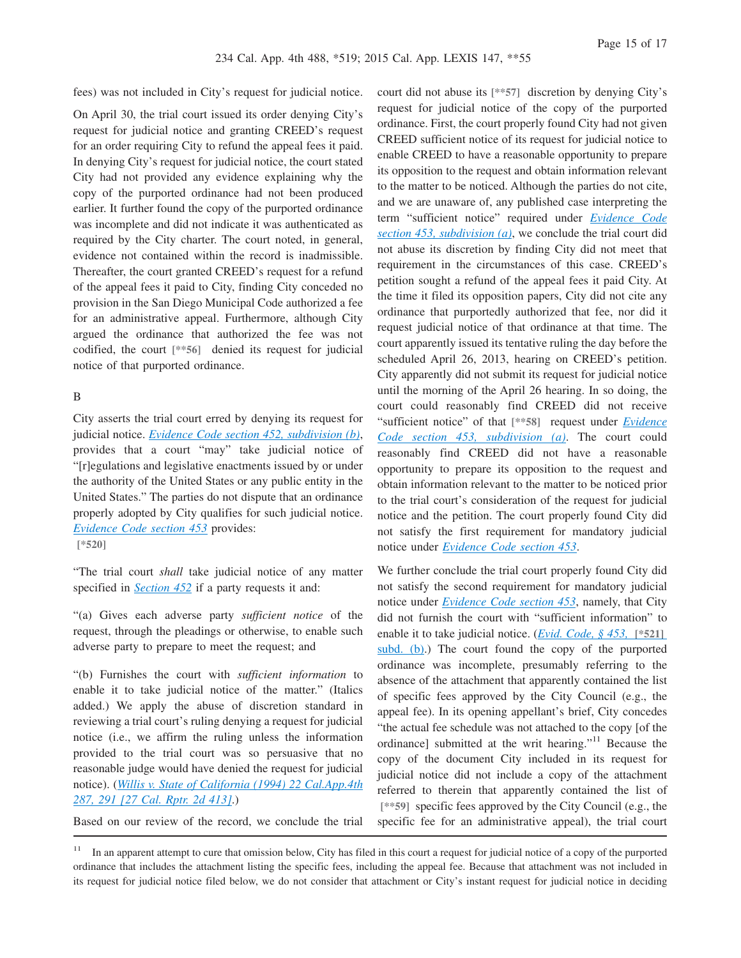fees) was not included in City's request for judicial notice.

On April 30, the trial court issued its order denying City's request for judicial notice and granting CREED's request for an order requiring City to refund the appeal fees it paid. In denying City's request for judicial notice, the court stated City had not provided any evidence explaining why the copy of the purported ordinance had not been produced earlier. It further found the copy of the purported ordinance was incomplete and did not indicate it was authenticated as required by the City charter. The court noted, in general, evidence not contained within the record is inadmissible. Thereafter, the court granted CREED's request for a refund of the appeal fees it paid to City, finding City conceded no provision in the San Diego Municipal Code authorized a fee for an administrative appeal. Furthermore, although City argued the ordinance that authorized the fee was not codified, the court **[\*\*56]** denied its request for judicial notice of that purported ordinance.

#### B

City asserts the trial court erred by denying its request for judicial notice. *[Evidence Code section 452, subdivision \(b\)](http://advance.lexis.com/api/document?collection=statutes-legislation&id=urn:contentItem:4WK3-CVG0-R03M-Y4V9-00000-00&context=1000516)*, provides that a court "may" take judicial notice of "[r]egulations and legislative enactments issued by or under the authority of the United States or any public entity in the United States." The parties do not dispute that an ordinance properly adopted by City qualifies for such judicial notice. *[Evidence Code section 453](http://advance.lexis.com/api/document?collection=statutes-legislation&id=urn:contentItem:4WK3-CVG0-R03M-Y4VC-00000-00&context=1000516)* provides: **[\*520]**

"The trial court *shall* take judicial notice of any matter specified in *[Section 452](http://advance.lexis.com/api/document?collection=statutes-legislation&id=urn:contentItem:4WK3-CVG0-R03M-Y4V9-00000-00&context=1000516)* if a party requests it and:

"(a) Gives each adverse party *sufficient notice* of the request, through the pleadings or otherwise, to enable such adverse party to prepare to meet the request; and

"(b) Furnishes the court with *sufficient information* to enable it to take judicial notice of the matter." (Italics added.) We apply the abuse of discretion standard in reviewing a trial court's ruling denying a request for judicial notice (i.e., we affirm the ruling unless the information provided to the trial court was so persuasive that no reasonable judge would have denied the request for judicial notice). (*[Willis v. State of California \(1994\) 22 Cal.App.4th](http://advance.lexis.com/api/document?collection=cases&id=urn:contentItem:3RX6-G7C0-003D-J1F2-00000-00&context=1000516) [287, 291 \[27 Cal. Rptr. 2d 413\]](http://advance.lexis.com/api/document?collection=cases&id=urn:contentItem:3RX6-G7C0-003D-J1F2-00000-00&context=1000516)*.)

Based on our review of the record, we conclude the trial

court did not abuse its **[\*\*57]** discretion by denying City's request for judicial notice of the copy of the purported ordinance. First, the court properly found City had not given CREED sufficient notice of its request for judicial notice to enable CREED to have a reasonable opportunity to prepare its opposition to the request and obtain information relevant to the matter to be noticed. Although the parties do not cite, and we are unaware of, any published case interpreting the term "sufficient notice" required under *[Evidence Code](http://advance.lexis.com/api/document?collection=statutes-legislation&id=urn:contentItem:4WK3-CVG0-R03M-Y4VC-00000-00&context=1000516) [section 453, subdivision \(a\)](http://advance.lexis.com/api/document?collection=statutes-legislation&id=urn:contentItem:4WK3-CVG0-R03M-Y4VC-00000-00&context=1000516)*, we conclude the trial court did not abuse its discretion by finding City did not meet that requirement in the circumstances of this case. CREED's petition sought a refund of the appeal fees it paid City. At the time it filed its opposition papers, City did not cite any ordinance that purportedly authorized that fee, nor did it request judicial notice of that ordinance at that time. The court apparently issued its tentative ruling the day before the scheduled April 26, 2013, hearing on CREED's petition. City apparently did not submit its request for judicial notice until the morning of the April 26 hearing. In so doing, the court could reasonably find CREED did not receive "sufficient notice" of that **[\*\*58]** request under *[Evidence](http://advance.lexis.com/api/document?collection=statutes-legislation&id=urn:contentItem:4WK3-CVG0-R03M-Y4VC-00000-00&context=1000516) [Code section 453, subdivision \(a\)](http://advance.lexis.com/api/document?collection=statutes-legislation&id=urn:contentItem:4WK3-CVG0-R03M-Y4VC-00000-00&context=1000516)*. The court could reasonably find CREED did not have a reasonable opportunity to prepare its opposition to the request and obtain information relevant to the matter to be noticed prior to the trial court's consideration of the request for judicial notice and the petition. The court properly found City did not satisfy the first requirement for mandatory judicial notice under *[Evidence Code section 453](http://advance.lexis.com/api/document?collection=statutes-legislation&id=urn:contentItem:4WK3-CVG0-R03M-Y4VC-00000-00&context=1000516)*.

We further conclude the trial court properly found City did not satisfy the second requirement for mandatory judicial notice under *[Evidence Code section 453](http://advance.lexis.com/api/document?collection=statutes-legislation&id=urn:contentItem:4WK3-CVG0-R03M-Y4VC-00000-00&context=1000516)*, namely, that City did not furnish the court with "sufficient information" to enable it to take judicial notice. (*[Evid. Code, § 453,](http://advance.lexis.com/api/document?collection=statutes-legislation&id=urn:contentItem:4WK3-CVG0-R03M-Y4VC-00000-00&context=1000516)* **[\*521]** [subd. \(b\).](http://advance.lexis.com/api/document?collection=statutes-legislation&id=urn:contentItem:4WK3-CVG0-R03M-Y4VC-00000-00&context=1000516)) The court found the copy of the purported ordinance was incomplete, presumably referring to the absence of the attachment that apparently contained the list of specific fees approved by the City Council (e.g., the appeal fee). In its opening appellant's brief, City concedes "the actual fee schedule was not attached to the copy [of the ordinancel submitted at the writ hearing."<sup>11</sup> Because the copy of the document City included in its request for judicial notice did not include a copy of the attachment referred to therein that apparently contained the list of **[\*\*59]** specific fees approved by the City Council (e.g., the specific fee for an administrative appeal), the trial court

<sup>&</sup>lt;sup>11</sup> In an apparent attempt to cure that omission below, City has filed in this court a request for judicial notice of a copy of the purported ordinance that includes the attachment listing the specific fees, including the appeal fee. Because that attachment was not included in its request for judicial notice filed below, we do not consider that attachment or City's instant request for judicial notice in deciding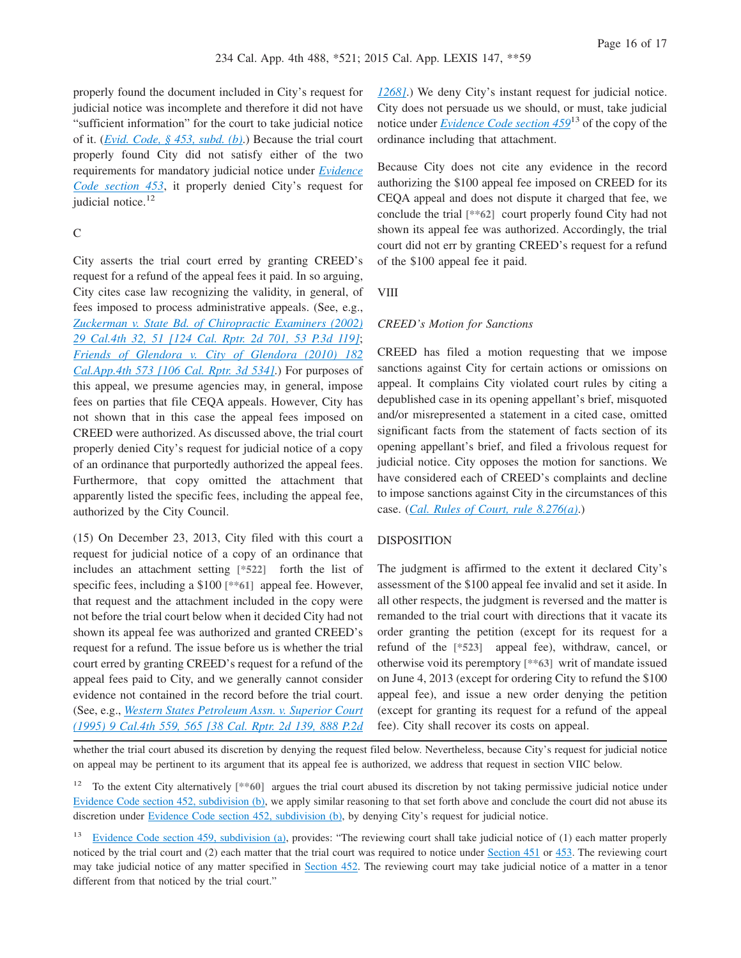properly found the document included in City's request for judicial notice was incomplete and therefore it did not have "sufficient information" for the court to take judicial notice of it. (*[Evid. Code, § 453, subd. \(b\)](http://advance.lexis.com/api/document?collection=statutes-legislation&id=urn:contentItem:4WK3-CVG0-R03M-Y4VC-00000-00&context=1000516)*.) Because the trial court properly found City did not satisfy either of the two requirements for mandatory judicial notice under *[Evidence](http://advance.lexis.com/api/document?collection=statutes-legislation&id=urn:contentItem:4WK3-CVG0-R03M-Y4VC-00000-00&context=1000516) [Code section 453](http://advance.lexis.com/api/document?collection=statutes-legislation&id=urn:contentItem:4WK3-CVG0-R03M-Y4VC-00000-00&context=1000516)*, it properly denied City's request for judicial notice.<sup>12</sup>

## C

City asserts the trial court erred by granting CREED's request for a refund of the appeal fees it paid. In so arguing, City cites case law recognizing the validity, in general, of fees imposed to process administrative appeals. (See, e.g., *[Zuckerman v. State Bd. of Chiropractic Examiners \(2002\)](http://advance.lexis.com/api/document?collection=cases&id=urn:contentItem:46M1-KSB0-0039-4411-00000-00&context=1000516) [29 Cal.4th 32, 51 \[124 Cal. Rptr. 2d 701, 53 P.3d 119\]](http://advance.lexis.com/api/document?collection=cases&id=urn:contentItem:46M1-KSB0-0039-4411-00000-00&context=1000516)*; *[Friends of Glendora v. City of Glendora \(2010\) 182](http://advance.lexis.com/api/document?collection=cases&id=urn:contentItem:7XX9-9780-YB0K-H00G-00000-00&context=1000516) [Cal.App.4th 573 \[106 Cal. Rptr. 3d 534\]](http://advance.lexis.com/api/document?collection=cases&id=urn:contentItem:7XX9-9780-YB0K-H00G-00000-00&context=1000516)*.) For purposes of this appeal, we presume agencies may, in general, impose fees on parties that file CEQA appeals. However, City has not shown that in this case the appeal fees imposed on CREED were authorized. As discussed above, the trial court properly denied City's request for judicial notice of a copy of an ordinance that purportedly authorized the appeal fees. Furthermore, that copy omitted the attachment that apparently listed the specific fees, including the appeal fee, authorized by the City Council.

(15) On December 23, 2013, City filed with this court a request for judicial notice of a copy of an ordinance that includes an attachment setting **[\*522]** forth the list of specific fees, including a \$100 **[\*\*61]** appeal fee. However, that request and the attachment included in the copy were not before the trial court below when it decided City had not shown its appeal fee was authorized and granted CREED's request for a refund. The issue before us is whether the trial court erred by granting CREED's request for a refund of the appeal fees paid to City, and we generally cannot consider evidence not contained in the record before the trial court. (See, e.g., *[Western States Petroleum Assn. v. Superior Court](http://advance.lexis.com/api/document?collection=cases&id=urn:contentItem:3RX4-1BT0-003D-J51B-00000-00&context=1000516) [\(1995\) 9 Cal.4th 559, 565 \[38 Cal. Rptr. 2d 139, 888 P.2d](http://advance.lexis.com/api/document?collection=cases&id=urn:contentItem:3RX4-1BT0-003D-J51B-00000-00&context=1000516)* *[1268\]](http://advance.lexis.com/api/document?collection=cases&id=urn:contentItem:3RX4-1BT0-003D-J51B-00000-00&context=1000516)*.) We deny City's instant request for judicial notice. City does not persuade us we should, or must, take judicial notice under *[Evidence Code section 459](http://advance.lexis.com/api/document?collection=statutes-legislation&id=urn:contentItem:4WK3-CVG0-R03M-Y4VK-00000-00&context=1000516)*<sup>13</sup> of the copy of the ordinance including that attachment.

Because City does not cite any evidence in the record authorizing the \$100 appeal fee imposed on CREED for its CEQA appeal and does not dispute it charged that fee, we conclude the trial **[\*\*62]** court properly found City had not shown its appeal fee was authorized. Accordingly, the trial court did not err by granting CREED's request for a refund of the \$100 appeal fee it paid.

VIII

#### *CREED's Motion for Sanctions*

CREED has filed a motion requesting that we impose sanctions against City for certain actions or omissions on appeal. It complains City violated court rules by citing a depublished case in its opening appellant's brief, misquoted and/or misrepresented a statement in a cited case, omitted significant facts from the statement of facts section of its opening appellant's brief, and filed a frivolous request for judicial notice. City opposes the motion for sanctions. We have considered each of CREED's complaints and decline to impose sanctions against City in the circumstances of this case. (*[Cal. Rules of Court, rule 8.276\(a\)](http://advance.lexis.com/api/document?collection=statutes-legislation&id=urn:contentItem:4KXN-8610-R03K-S49X-00000-00&context=1000516)*.)

#### DISPOSITION

The judgment is affirmed to the extent it declared City's assessment of the \$100 appeal fee invalid and set it aside. In all other respects, the judgment is reversed and the matter is remanded to the trial court with directions that it vacate its order granting the petition (except for its request for a refund of the **[\*523]** appeal fee), withdraw, cancel, or otherwise void its peremptory **[\*\*63]** writ of mandate issued on June 4, 2013 (except for ordering City to refund the \$100 appeal fee), and issue a new order denying the petition (except for granting its request for a refund of the appeal fee). City shall recover its costs on appeal.

whether the trial court abused its discretion by denying the request filed below. Nevertheless, because City's request for judicial notice on appeal may be pertinent to its argument that its appeal fee is authorized, we address that request in section VIIC below.

<sup>12</sup> To the extent City alternatively [\*\*60] argues the trial court abused its discretion by not taking permissive judicial notice under [Evidence Code section 452, subdivision \(b\),](http://advance.lexis.com/api/document?collection=statutes-legislation&id=urn:contentItem:4WK3-CVG0-R03M-Y4V9-00000-00&context=1000516) we apply similar reasoning to that set forth above and conclude the court did not abuse its discretion under [Evidence Code section 452, subdivision \(b\),](http://advance.lexis.com/api/document?collection=statutes-legislation&id=urn:contentItem:4WK3-CVG0-R03M-Y4V9-00000-00&context=1000516) by denying City's request for judicial notice.

<sup>&</sup>lt;sup>13</sup> [Evidence Code section 459, subdivision \(a\),](http://advance.lexis.com/api/document?collection=statutes-legislation&id=urn:contentItem:4WK3-CVG0-R03M-Y4VK-00000-00&context=1000516) provides: "The reviewing court shall take judicial notice of (1) each matter properly noticed by the trial court and (2) each matter that the trial court was required to notice under [Section 451](http://advance.lexis.com/api/document?collection=statutes-legislation&id=urn:contentItem:4WK3-CVG0-R03M-Y4V8-00000-00&context=1000516) or [453.](http://advance.lexis.com/api/document?collection=statutes-legislation&id=urn:contentItem:4WK3-CVG0-R03M-Y4VC-00000-00&context=1000516) The reviewing court may take judicial notice of any matter specified in [Section 452.](http://advance.lexis.com/api/document?collection=statutes-legislation&id=urn:contentItem:4WK3-CVG0-R03M-Y4V9-00000-00&context=1000516) The reviewing court may take judicial notice of a matter in a tenor different from that noticed by the trial court."